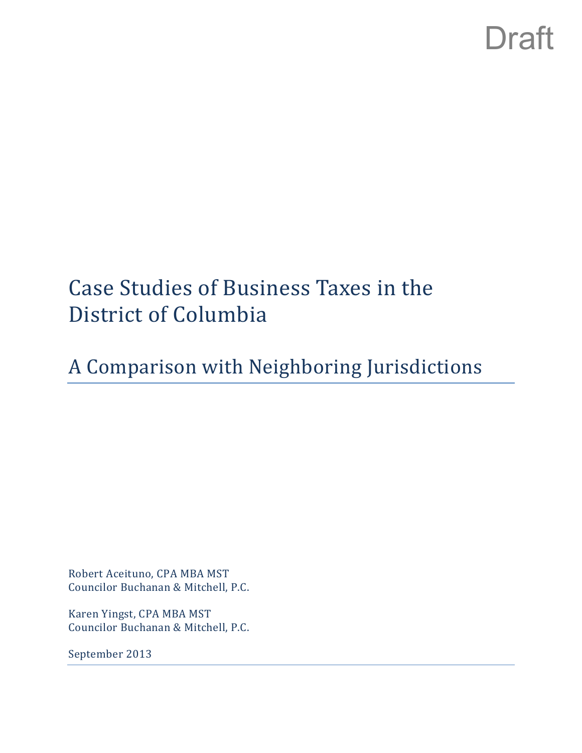## Case Studies of Business Taxes in the District of Columbia

## A Comparison with Neighboring Jurisdictions

Robert Aceituno, CPA MBA MST Councilor Buchanan & Mitchell, P.C.

Karen Yingst, CPA MBA MST Councilor Buchanan & Mitchell, P.C.

September 2013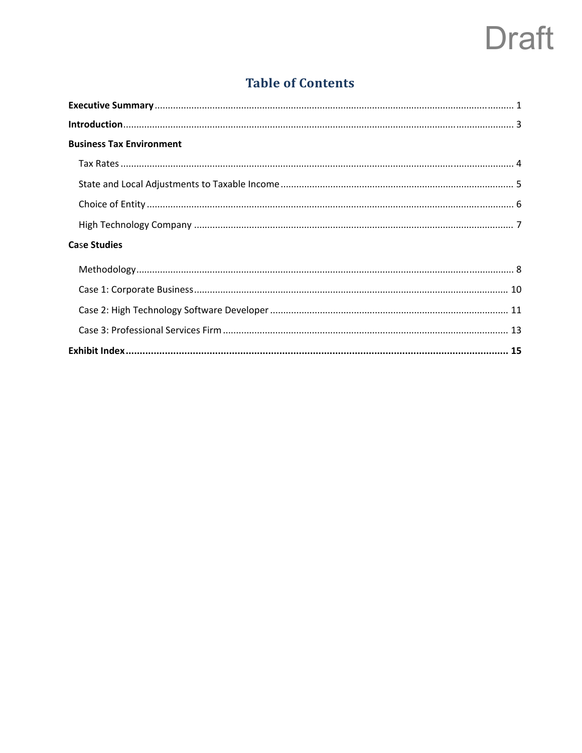## **Table of Contents**

| <b>Business Tax Environment</b>                                                                                                                                                                                                |  |
|--------------------------------------------------------------------------------------------------------------------------------------------------------------------------------------------------------------------------------|--|
|                                                                                                                                                                                                                                |  |
|                                                                                                                                                                                                                                |  |
|                                                                                                                                                                                                                                |  |
|                                                                                                                                                                                                                                |  |
| <b>Case Studies</b>                                                                                                                                                                                                            |  |
| Methodology and the contract of the contract of the contract of the contract of the contract of the contract of the contract of the contract of the contract of the contract of the contract of the contract of the contract o |  |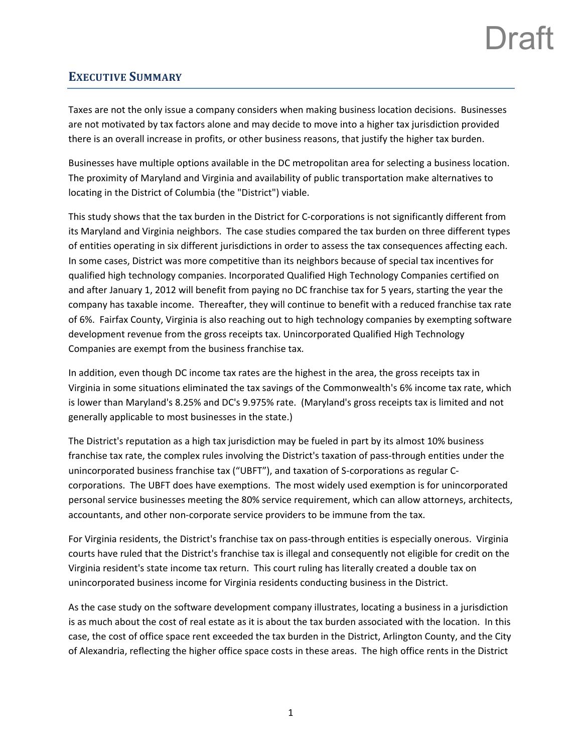## **EXECUTIVE SUMMARY**

Taxes are not the only issue a company considers when making business location decisions. Businesses are not motivated by tax factors alone and may decide to move into a higher tax jurisdiction provided there is an overall increase in profits, or other business reasons, that justify the higher tax burden.

Businesses have multiple options available in the DC metropolitan area for selecting a business location. The proximity of Maryland and Virginia and availability of public transportation make alternatives to locating in the District of Columbia (the "District") viable.

This study shows that the tax burden in the District for C‐corporations is not significantly different from its Maryland and Virginia neighbors. The case studies compared the tax burden on three different types of entities operating in six different jurisdictions in order to assess the tax consequences affecting each. In some cases, District was more competitive than its neighbors because of special tax incentives for qualified high technology companies. Incorporated Qualified High Technology Companies certified on and after January 1, 2012 will benefit from paying no DC franchise tax for 5 years, starting the year the company has taxable income. Thereafter, they will continue to benefit with a reduced franchise tax rate of 6%. Fairfax County, Virginia is also reaching out to high technology companies by exempting software development revenue from the gross receipts tax. Unincorporated Qualified High Technology Companies are exempt from the business franchise tax.

In addition, even though DC income tax rates are the highest in the area, the gross receipts tax in Virginia in some situations eliminated the tax savings of the Commonwealth's 6% income tax rate, which is lower than Maryland's 8.25% and DC's 9.975% rate. (Maryland's gross receipts tax is limited and not generally applicable to most businesses in the state.)

The District's reputation as a high tax jurisdiction may be fueled in part by its almost 10% business franchise tax rate, the complex rules involving the District's taxation of pass-through entities under the unincorporated business franchise tax ("UBFT"), and taxation of S‐corporations as regular C‐ corporations. The UBFT does have exemptions. The most widely used exemption is for unincorporated personal service businesses meeting the 80% service requirement, which can allow attorneys, architects, accountants, and other non‐corporate service providers to be immune from the tax.

For Virginia residents, the District's franchise tax on pass-through entities is especially onerous. Virginia courts have ruled that the District's franchise tax is illegal and consequently not eligible for credit on the Virginia resident's state income tax return. This court ruling has literally created a double tax on unincorporated business income for Virginia residents conducting business in the District.

As the case study on the software development company illustrates, locating a business in a jurisdiction is as much about the cost of real estate as it is about the tax burden associated with the location. In this case, the cost of office space rent exceeded the tax burden in the District, Arlington County, and the City of Alexandria, reflecting the higher office space costs in these areas. The high office rents in the District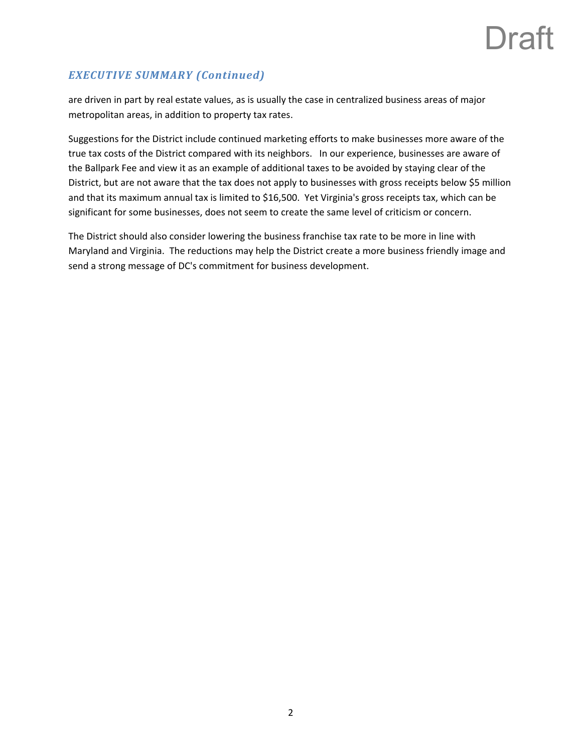### *EXECUTIVE SUMMARY (Continued)*

are driven in part by real estate values, as is usually the case in centralized business areas of major metropolitan areas, in addition to property tax rates.

Suggestions for the District include continued marketing efforts to make businesses more aware of the true tax costs of the District compared with its neighbors. In our experience, businesses are aware of the Ballpark Fee and view it as an example of additional taxes to be avoided by staying clear of the District, but are not aware that the tax does not apply to businesses with gross receipts below \$5 million and that its maximum annual tax is limited to \$16,500. Yet Virginia's gross receipts tax, which can be significant for some businesses, does not seem to create the same level of criticism or concern.

The District should also consider lowering the business franchise tax rate to be more in line with Maryland and Virginia. The reductions may help the District create a more business friendly image and send a strong message of DC's commitment for business development.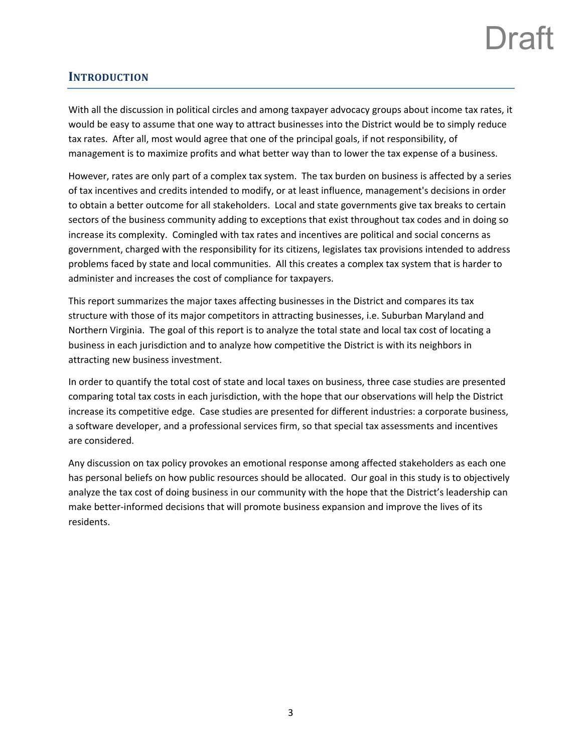### **INTRODUCTION**

With all the discussion in political circles and among taxpayer advocacy groups about income tax rates, it would be easy to assume that one way to attract businesses into the District would be to simply reduce tax rates. After all, most would agree that one of the principal goals, if not responsibility, of management is to maximize profits and what better way than to lower the tax expense of a business.

However, rates are only part of a complex tax system. The tax burden on business is affected by a series of tax incentives and credits intended to modify, or at least influence, management's decisions in order to obtain a better outcome for all stakeholders. Local and state governments give tax breaks to certain sectors of the business community adding to exceptions that exist throughout tax codes and in doing so increase its complexity. Comingled with tax rates and incentives are political and social concerns as government, charged with the responsibility for its citizens, legislates tax provisions intended to address problems faced by state and local communities. All this creates a complex tax system that is harder to administer and increases the cost of compliance for taxpayers.

This report summarizes the major taxes affecting businesses in the District and compares its tax structure with those of its major competitors in attracting businesses, i.e. Suburban Maryland and Northern Virginia. The goal of this report is to analyze the total state and local tax cost of locating a business in each jurisdiction and to analyze how competitive the District is with its neighbors in attracting new business investment.

In order to quantify the total cost of state and local taxes on business, three case studies are presented comparing total tax costs in each jurisdiction, with the hope that our observations will help the District increase its competitive edge. Case studies are presented for different industries: a corporate business, a software developer, and a professional services firm, so that special tax assessments and incentives are considered.

Any discussion on tax policy provokes an emotional response among affected stakeholders as each one has personal beliefs on how public resources should be allocated. Our goal in this study is to objectively analyze the tax cost of doing business in our community with the hope that the District's leadership can make better‐informed decisions that will promote business expansion and improve the lives of its residents.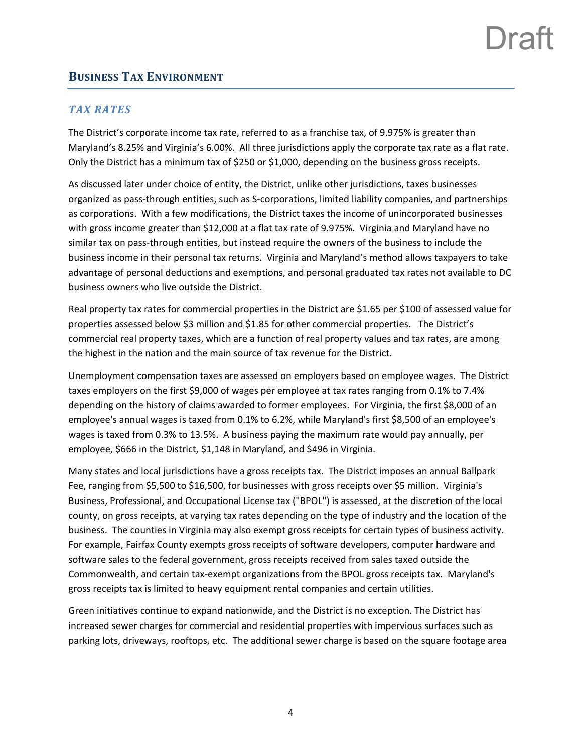## Ira

### **BUSINESS TAX ENVIRONMENT**

### *TAX RATES*

The District's corporate income tax rate, referred to as a franchise tax, of 9.975% is greater than Maryland's 8.25% and Virginia's 6.00%. All three jurisdictions apply the corporate tax rate as a flat rate. Only the District has a minimum tax of \$250 or \$1,000, depending on the business gross receipts.

As discussed later under choice of entity, the District, unlike other jurisdictions, taxes businesses organized as pass‐through entities, such as S‐corporations, limited liability companies, and partnerships as corporations. With a few modifications, the District taxes the income of unincorporated businesses with gross income greater than \$12,000 at a flat tax rate of 9.975%. Virginia and Maryland have no similar tax on pass‐through entities, but instead require the owners of the business to include the business income in their personal tax returns. Virginia and Maryland's method allows taxpayers to take advantage of personal deductions and exemptions, and personal graduated tax rates not available to DC business owners who live outside the District.

Real property tax rates for commercial properties in the District are \$1.65 per \$100 of assessed value for properties assessed below \$3 million and \$1.85 for other commercial properties. The District's commercial real property taxes, which are a function of real property values and tax rates, are among the highest in the nation and the main source of tax revenue for the District.

Unemployment compensation taxes are assessed on employers based on employee wages. The District taxes employers on the first \$9,000 of wages per employee at tax rates ranging from 0.1% to 7.4% depending on the history of claims awarded to former employees. For Virginia, the first \$8,000 of an employee's annual wages is taxed from 0.1% to 6.2%, while Maryland's first \$8,500 of an employee's wages is taxed from 0.3% to 13.5%. A business paying the maximum rate would pay annually, per employee, \$666 in the District, \$1,148 in Maryland, and \$496 in Virginia.

Many states and local jurisdictions have a gross receipts tax. The District imposes an annual Ballpark Fee, ranging from \$5,500 to \$16,500, for businesses with gross receipts over \$5 million. Virginia's Business, Professional, and Occupational License tax ("BPOL") is assessed, at the discretion of the local county, on gross receipts, at varying tax rates depending on the type of industry and the location of the business. The counties in Virginia may also exempt gross receipts for certain types of business activity. For example, Fairfax County exempts gross receipts of software developers, computer hardware and software sales to the federal government, gross receipts received from sales taxed outside the Commonwealth, and certain tax‐exempt organizations from the BPOL gross receipts tax. Maryland's gross receipts tax is limited to heavy equipment rental companies and certain utilities.

Green initiatives continue to expand nationwide, and the District is no exception. The District has increased sewer charges for commercial and residential properties with impervious surfaces such as parking lots, driveways, rooftops, etc. The additional sewer charge is based on the square footage area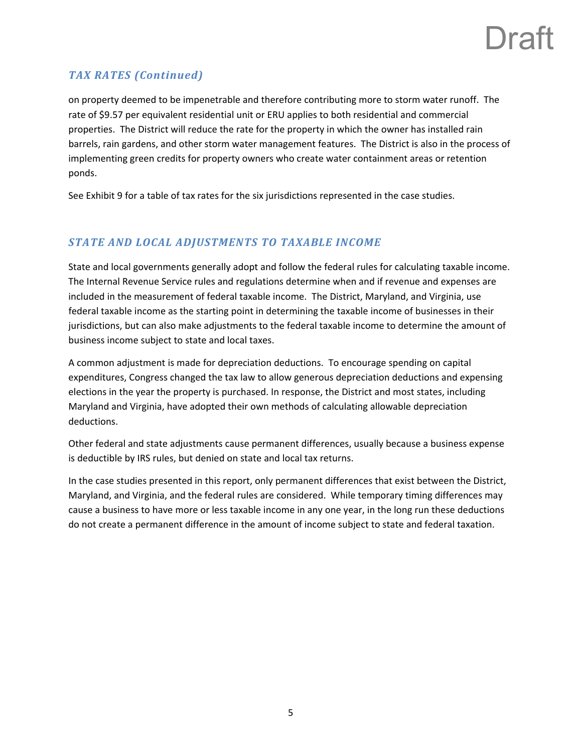## Ira<sup>'</sup>

### *TAX RATES (Continued)*

on property deemed to be impenetrable and therefore contributing more to storm water runoff. The rate of \$9.57 per equivalent residential unit or ERU applies to both residential and commercial properties. The District will reduce the rate for the property in which the owner has installed rain barrels, rain gardens, and other storm water management features. The District is also in the process of implementing green credits for property owners who create water containment areas or retention ponds.

See Exhibit 9 for a table of tax rates for the six jurisdictions represented in the case studies.

### *STATE AND LOCAL ADJUSTMENTS TO TAXABLE INCOME*

State and local governments generally adopt and follow the federal rules for calculating taxable income. The Internal Revenue Service rules and regulations determine when and if revenue and expenses are included in the measurement of federal taxable income. The District, Maryland, and Virginia, use federal taxable income as the starting point in determining the taxable income of businesses in their jurisdictions, but can also make adjustments to the federal taxable income to determine the amount of business income subject to state and local taxes.

A common adjustment is made for depreciation deductions. To encourage spending on capital expenditures, Congress changed the tax law to allow generous depreciation deductions and expensing elections in the year the property is purchased. In response, the District and most states, including Maryland and Virginia, have adopted their own methods of calculating allowable depreciation deductions.

Other federal and state adjustments cause permanent differences, usually because a business expense is deductible by IRS rules, but denied on state and local tax returns.

In the case studies presented in this report, only permanent differences that exist between the District, Maryland, and Virginia, and the federal rules are considered. While temporary timing differences may cause a business to have more or less taxable income in any one year, in the long run these deductions do not create a permanent difference in the amount of income subject to state and federal taxation.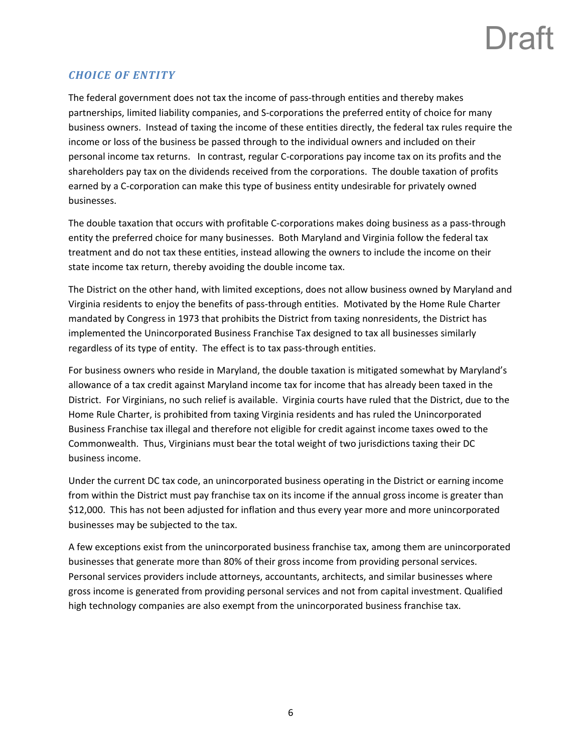## Ira<sup>r</sup>

### *CHOICE OF ENTITY*

The federal government does not tax the income of pass-through entities and thereby makes partnerships, limited liability companies, and S‐corporations the preferred entity of choice for many business owners. Instead of taxing the income of these entities directly, the federal tax rules require the income or loss of the business be passed through to the individual owners and included on their personal income tax returns. In contrast, regular C-corporations pay income tax on its profits and the shareholders pay tax on the dividends received from the corporations. The double taxation of profits earned by a C-corporation can make this type of business entity undesirable for privately owned businesses.

The double taxation that occurs with profitable C‐corporations makes doing business as a pass‐through entity the preferred choice for many businesses. Both Maryland and Virginia follow the federal tax treatment and do not tax these entities, instead allowing the owners to include the income on their state income tax return, thereby avoiding the double income tax.

The District on the other hand, with limited exceptions, does not allow business owned by Maryland and Virginia residents to enjoy the benefits of pass‐through entities. Motivated by the Home Rule Charter mandated by Congress in 1973 that prohibits the District from taxing nonresidents, the District has implemented the Unincorporated Business Franchise Tax designed to tax all businesses similarly regardless of its type of entity. The effect is to tax pass-through entities.

For business owners who reside in Maryland, the double taxation is mitigated somewhat by Maryland's allowance of a tax credit against Maryland income tax for income that has already been taxed in the District. For Virginians, no such relief is available. Virginia courts have ruled that the District, due to the Home Rule Charter, is prohibited from taxing Virginia residents and has ruled the Unincorporated Business Franchise tax illegal and therefore not eligible for credit against income taxes owed to the Commonwealth. Thus, Virginians must bear the total weight of two jurisdictions taxing their DC business income.

Under the current DC tax code, an unincorporated business operating in the District or earning income from within the District must pay franchise tax on its income if the annual gross income is greater than \$12,000. This has not been adjusted for inflation and thus every year more and more unincorporated businesses may be subjected to the tax.

A few exceptions exist from the unincorporated business franchise tax, among them are unincorporated businesses that generate more than 80% of their gross income from providing personal services. Personal services providers include attorneys, accountants, architects, and similar businesses where gross income is generated from providing personal services and not from capital investment. Qualified high technology companies are also exempt from the unincorporated business franchise tax.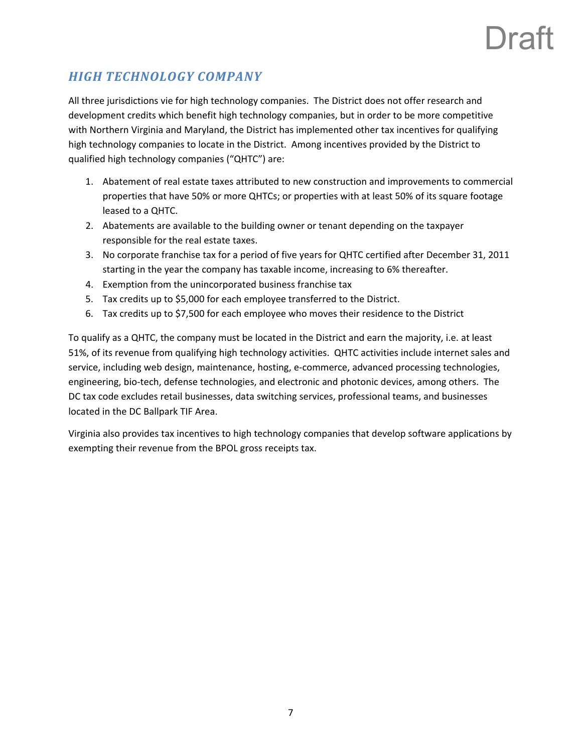# Jra:

## *HIGH TECHNOLOGY COMPANY*

All three jurisdictions vie for high technology companies. The District does not offer research and development credits which benefit high technology companies, but in order to be more competitive with Northern Virginia and Maryland, the District has implemented other tax incentives for qualifying high technology companies to locate in the District. Among incentives provided by the District to qualified high technology companies ("QHTC") are:

- 1. Abatement of real estate taxes attributed to new construction and improvements to commercial properties that have 50% or more QHTCs; or properties with at least 50% of its square footage leased to a QHTC.
- 2. Abatements are available to the building owner or tenant depending on the taxpayer responsible for the real estate taxes.
- 3. No corporate franchise tax for a period of five years for QHTC certified after December 31, 2011 starting in the year the company has taxable income, increasing to 6% thereafter.
- 4. Exemption from the unincorporated business franchise tax
- 5. Tax credits up to \$5,000 for each employee transferred to the District.
- 6. Tax credits up to \$7,500 for each employee who moves their residence to the District

To qualify as a QHTC, the company must be located in the District and earn the majority, i.e. at least 51%, of its revenue from qualifying high technology activities. QHTC activities include internet sales and service, including web design, maintenance, hosting, e‐commerce, advanced processing technologies, engineering, bio-tech, defense technologies, and electronic and photonic devices, among others. The DC tax code excludes retail businesses, data switching services, professional teams, and businesses located in the DC Ballpark TIF Area.

Virginia also provides tax incentives to high technology companies that develop software applications by exempting their revenue from the BPOL gross receipts tax.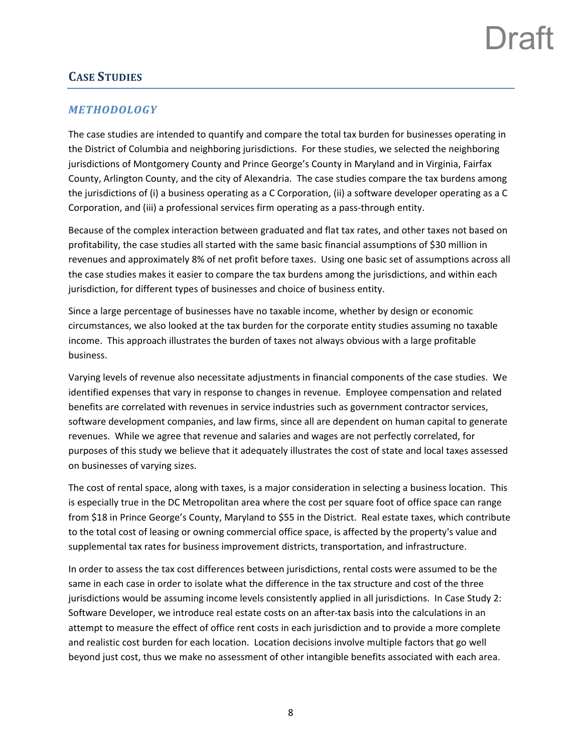## **CASE STUDIES**

### *METHODOLOGY*

The case studies are intended to quantify and compare the total tax burden for businesses operating in the District of Columbia and neighboring jurisdictions. For these studies, we selected the neighboring jurisdictions of Montgomery County and Prince George's County in Maryland and in Virginia, Fairfax County, Arlington County, and the city of Alexandria. The case studies compare the tax burdens among the jurisdictions of (i) a business operating as a C Corporation, (ii) a software developer operating as a C Corporation, and (iii) a professional services firm operating as a pass-through entity.

Because of the complex interaction between graduated and flat tax rates, and other taxes not based on profitability, the case studies all started with the same basic financial assumptions of \$30 million in revenues and approximately 8% of net profit before taxes. Using one basic set of assumptions across all the case studies makes it easier to compare the tax burdens among the jurisdictions, and within each jurisdiction, for different types of businesses and choice of business entity.

Since a large percentage of businesses have no taxable income, whether by design or economic circumstances, we also looked at the tax burden for the corporate entity studies assuming no taxable income. This approach illustrates the burden of taxes not always obvious with a large profitable business.

Varying levels of revenue also necessitate adjustments in financial components of the case studies. We identified expenses that vary in response to changes in revenue. Employee compensation and related benefits are correlated with revenues in service industries such as government contractor services, software development companies, and law firms, since all are dependent on human capital to generate revenues. While we agree that revenue and salaries and wages are not perfectly correlated, for purposes of this study we believe that it adequately illustrates the cost of state and local taxes assessed on businesses of varying sizes.

The cost of rental space, along with taxes, is a major consideration in selecting a business location. This is especially true in the DC Metropolitan area where the cost per square foot of office space can range from \$18 in Prince George's County, Maryland to \$55 in the District. Real estate taxes, which contribute to the total cost of leasing or owning commercial office space, is affected by the property's value and supplemental tax rates for business improvement districts, transportation, and infrastructure.

In order to assess the tax cost differences between jurisdictions, rental costs were assumed to be the same in each case in order to isolate what the difference in the tax structure and cost of the three jurisdictions would be assuming income levels consistently applied in all jurisdictions. In Case Study 2: Software Developer, we introduce real estate costs on an after‐tax basis into the calculations in an attempt to measure the effect of office rent costs in each jurisdiction and to provide a more complete and realistic cost burden for each location. Location decisions involve multiple factors that go well beyond just cost, thus we make no assessment of other intangible benefits associated with each area.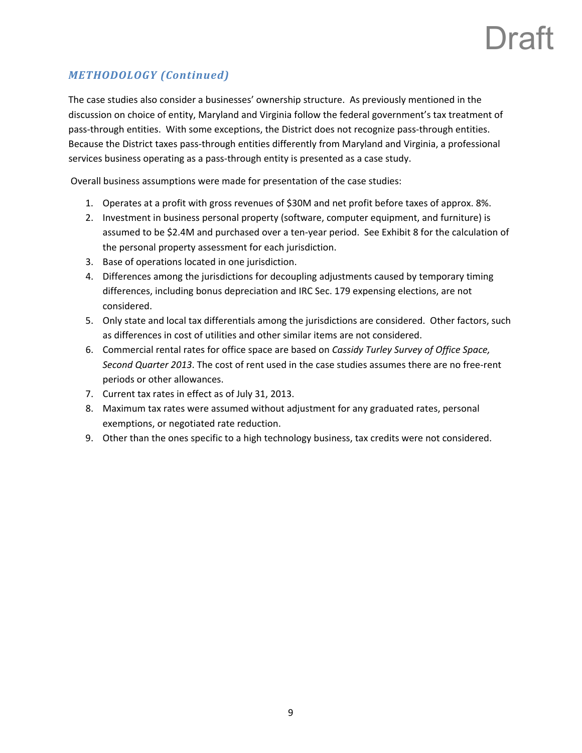# Jra:

### *METHODOLOGY (Continued)*

The case studies also consider a businesses' ownership structure. As previously mentioned in the discussion on choice of entity, Maryland and Virginia follow the federal government's tax treatment of pass-through entities. With some exceptions, the District does not recognize pass-through entities. Because the District taxes pass‐through entities differently from Maryland and Virginia, a professional services business operating as a pass-through entity is presented as a case study.

Overall business assumptions were made for presentation of the case studies:

- 1. Operates at a profit with gross revenues of \$30M and net profit before taxes of approx. 8%.
- 2. Investment in business personal property (software, computer equipment, and furniture) is assumed to be \$2.4M and purchased over a ten‐year period. See Exhibit 8 for the calculation of the personal property assessment for each jurisdiction.
- 3. Base of operations located in one jurisdiction.
- 4. Differences among the jurisdictions for decoupling adjustments caused by temporary timing differences, including bonus depreciation and IRC Sec. 179 expensing elections, are not considered.
- 5. Only state and local tax differentials among the jurisdictions are considered. Other factors, such as differences in cost of utilities and other similar items are not considered.
- 6. Commercial rental rates for office space are based on *Cassidy Turley Survey of Office Space, Second Quarter 2013*. The cost of rent used in the case studies assumes there are no free‐rent periods or other allowances.
- 7. Current tax rates in effect as of July 31, 2013.
- 8. Maximum tax rates were assumed without adjustment for any graduated rates, personal exemptions, or negotiated rate reduction.
- 9. Other than the ones specific to a high technology business, tax credits were not considered.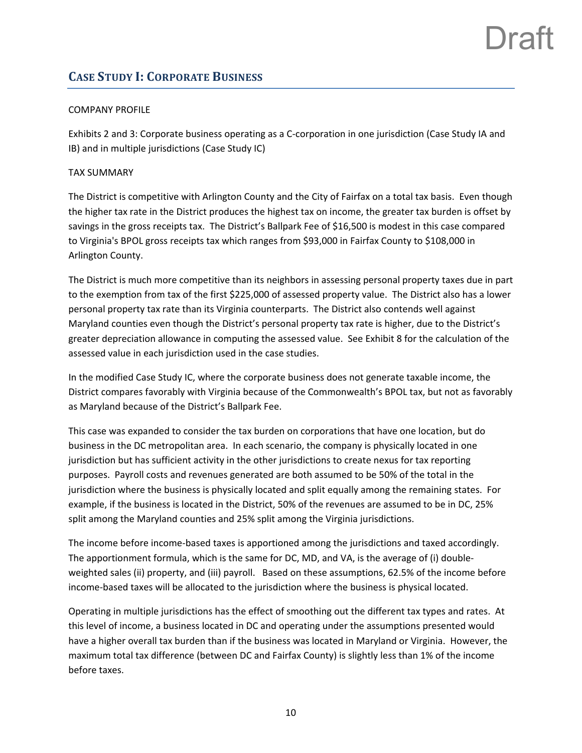### **CASE STUDY I: CORPORATE BUSINESS**

### COMPANY PROFILE

Exhibits 2 and 3: Corporate business operating as a C-corporation in one jurisdiction (Case Study IA and IB) and in multiple jurisdictions (Case Study IC)

### TAX SUMMARY

The District is competitive with Arlington County and the City of Fairfax on a total tax basis. Even though the higher tax rate in the District produces the highest tax on income, the greater tax burden is offset by savings in the gross receipts tax. The District's Ballpark Fee of \$16,500 is modest in this case compared to Virginia's BPOL gross receipts tax which ranges from \$93,000 in Fairfax County to \$108,000 in Arlington County.

The District is much more competitive than its neighbors in assessing personal property taxes due in part to the exemption from tax of the first \$225,000 of assessed property value. The District also has a lower personal property tax rate than its Virginia counterparts. The District also contends well against Maryland counties even though the District's personal property tax rate is higher, due to the District's greater depreciation allowance in computing the assessed value. See Exhibit 8 for the calculation of the assessed value in each jurisdiction used in the case studies.

In the modified Case Study IC, where the corporate business does not generate taxable income, the District compares favorably with Virginia because of the Commonwealth's BPOL tax, but not as favorably as Maryland because of the District's Ballpark Fee.

This case was expanded to consider the tax burden on corporations that have one location, but do business in the DC metropolitan area. In each scenario, the company is physically located in one jurisdiction but has sufficient activity in the other jurisdictions to create nexus for tax reporting purposes. Payroll costs and revenues generated are both assumed to be 50% of the total in the jurisdiction where the business is physically located and split equally among the remaining states. For example, if the business is located in the District, 50% of the revenues are assumed to be in DC, 25% split among the Maryland counties and 25% split among the Virginia jurisdictions.

The income before income‐based taxes is apportioned among the jurisdictions and taxed accordingly. The apportionment formula, which is the same for DC, MD, and VA, is the average of (i) double‐ weighted sales (ii) property, and (iii) payroll. Based on these assumptions, 62.5% of the income before income‐based taxes will be allocated to the jurisdiction where the business is physical located.

Operating in multiple jurisdictions has the effect of smoothing out the different tax types and rates. At this level of income, a business located in DC and operating under the assumptions presented would have a higher overall tax burden than if the business was located in Maryland or Virginia. However, the maximum total tax difference (between DC and Fairfax County) is slightly less than 1% of the income before taxes.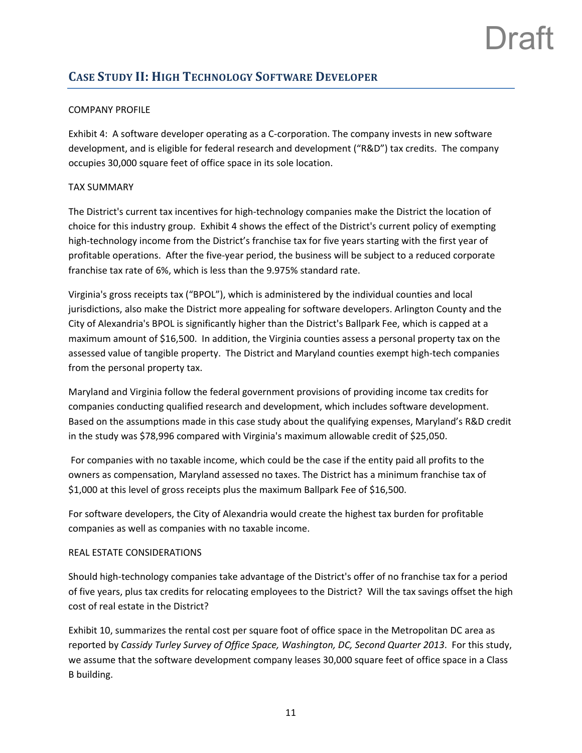## **CASE STUDY II: HIGH TECHNOLOGY SOFTWARE DEVELOPER**

### COMPANY PROFILE

Exhibit 4: A software developer operating as a C-corporation. The company invests in new software development, and is eligible for federal research and development ("R&D") tax credits. The company occupies 30,000 square feet of office space in its sole location.

### TAX SUMMARY

The District's current tax incentives for high‐technology companies make the District the location of choice for this industry group. Exhibit 4 shows the effect of the District's current policy of exempting high-technology income from the District's franchise tax for five years starting with the first year of profitable operations. After the five‐year period, the business will be subject to a reduced corporate franchise tax rate of 6%, which is less than the 9.975% standard rate.

Virginia's gross receipts tax ("BPOL"), which is administered by the individual counties and local jurisdictions, also make the District more appealing for software developers. Arlington County and the City of Alexandria's BPOL is significantly higher than the District's Ballpark Fee, which is capped at a maximum amount of \$16,500. In addition, the Virginia counties assess a personal property tax on the assessed value of tangible property. The District and Maryland counties exempt high‐tech companies from the personal property tax.

Maryland and Virginia follow the federal government provisions of providing income tax credits for companies conducting qualified research and development, which includes software development. Based on the assumptions made in this case study about the qualifying expenses, Maryland's R&D credit in the study was \$78,996 compared with Virginia's maximum allowable credit of \$25,050.

For companies with no taxable income, which could be the case if the entity paid all profits to the owners as compensation, Maryland assessed no taxes. The District has a minimum franchise tax of \$1,000 at this level of gross receipts plus the maximum Ballpark Fee of \$16,500.

For software developers, the City of Alexandria would create the highest tax burden for profitable companies as well as companies with no taxable income.

#### REAL ESTATE CONSIDERATIONS

Should high‐technology companies take advantage of the District's offer of no franchise tax for a period of five years, plus tax credits for relocating employees to the District? Will the tax savings offset the high cost of real estate in the District?

Exhibit 10, summarizes the rental cost per square foot of office space in the Metropolitan DC area as reported by *Cassidy Turley Survey of Office Space, Washington, DC, Second Quarter 2013*. For this study, we assume that the software development company leases 30,000 square feet of office space in a Class B building.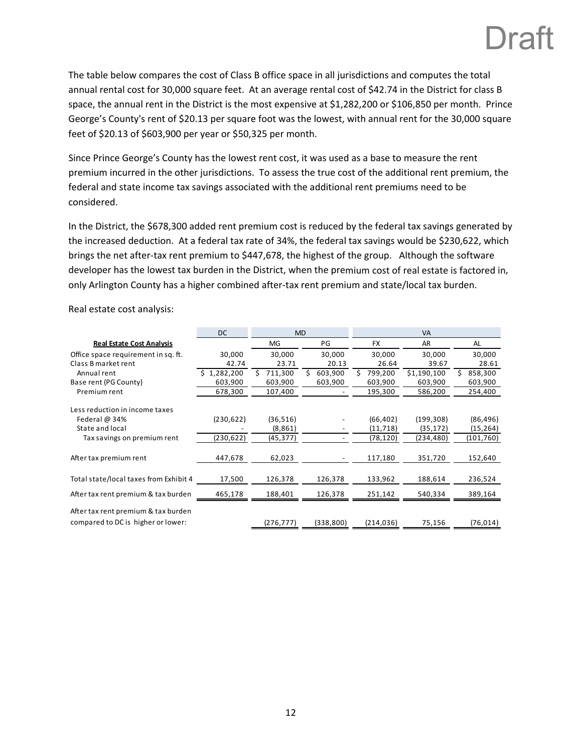## I Iratt

The table below compares the cost of Class B office space in all jurisdictions and computes the total annual rental cost for 30,000 square feet. At an average rental cost of \$42.74 in the District for class B space, the annual rent in the District is the most expensive at \$1,282,200 or \$106,850 per month. Prince George's County's rent of \$20.13 per square foot was the lowest, with annual rent for the 30,000 square feet of \$20.13 of \$603,900 per year or \$50,325 per month.

Since Prince George's County has the lowest rent cost, it was used as a base to measure the rent premium incurred in the other jurisdictions. To assess the true cost of the additional rent premium, the federal and state income tax savings associated with the additional rent premiums need to be considered.

In the District, the \$678,300 added rent premium cost is reduced by the federal tax savings generated by the increased deduction. At a federal tax rate of 34%, the federal tax savings would be \$230,622, which brings the net after‐tax rent premium to \$447,678, the highest of the group. Although the software developer has the lowest tax burden in the District, when the premium cost of real estate is factored in, only Arlington County has a higher combined after-tax rent premium and state/local tax burden.

Real estate cost analysis:

|                                                                           | <b>DC</b>      | <b>MD</b>  |              | <b>VA</b>     |             |            |  |  |  |  |  |
|---------------------------------------------------------------------------|----------------|------------|--------------|---------------|-------------|------------|--|--|--|--|--|
| <b>Real Estate Cost Analysis</b>                                          |                | MG         | PG           | <b>FX</b>     | AR          | AL         |  |  |  |  |  |
| Office space requirement in sq. ft.                                       | 30,000         | 30,000     | 30,000       | 30,000        | 30,000      | 30,000     |  |  |  |  |  |
| Class B market rent                                                       | 42.74          | 23.71      | 20.13        | 26.64         | 39.67       | 28.61      |  |  |  |  |  |
| Annual rent                                                               | 1,282,200<br>S | 711,300    | Ś<br>603,900 | 799,200<br>S. | \$1,190,100 | 858,300    |  |  |  |  |  |
| Base rent (PG County)                                                     | 603,900        | 603,900    | 603,900      | 603,900       | 603,900     | 603,900    |  |  |  |  |  |
| Premium rent                                                              | 678,300        | 107,400    |              | 195,300       | 586,200     | 254,400    |  |  |  |  |  |
| Less reduction in income taxes                                            |                |            |              |               |             |            |  |  |  |  |  |
| Federal $@34%$                                                            | (230, 622)     | (36, 516)  |              | (66, 402)     | (199, 308)  | (86, 496)  |  |  |  |  |  |
| State and local                                                           |                | (8,861)    |              | (11, 718)     | (35, 172)   | (15, 264)  |  |  |  |  |  |
| Tax savings on premium rent                                               | (230,622)      | (45,377)   |              | (78,120)      | (234, 480)  | (101, 760) |  |  |  |  |  |
| After tax premium rent                                                    | 447,678        | 62,023     |              | 117,180       | 351,720     | 152,640    |  |  |  |  |  |
| Total state/local taxes from Exhibit 4                                    | 17,500         | 126,378    | 126,378      | 133,962       | 188,614     | 236,524    |  |  |  |  |  |
| After tax rent premium & tax burden                                       | 465,178        | 188,401    | 126,378      | 251,142       | 540,334     | 389,164    |  |  |  |  |  |
| After tax rent premium & tax burden<br>compared to DC is higher or lower: |                | (276, 777) | (338,800)    | (214, 036)    | 75,156      | (76, 014)  |  |  |  |  |  |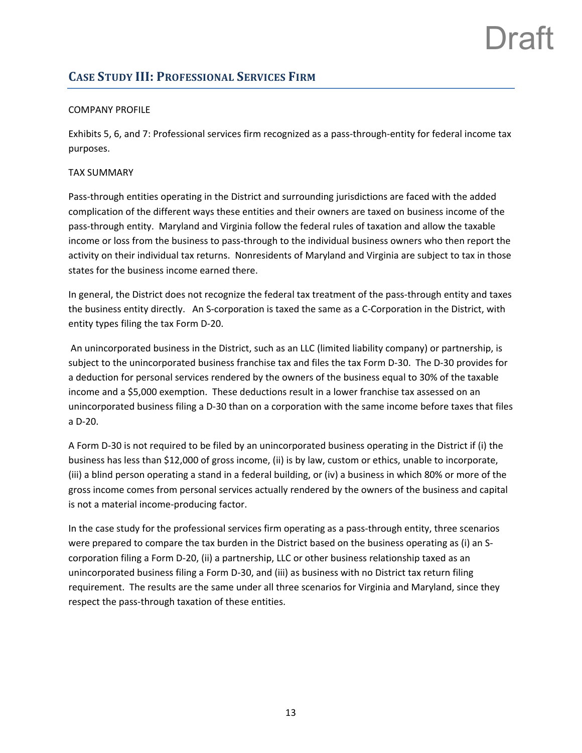## **CASE STUDY III: PROFESSIONAL SERVICES FIRM**

### COMPANY PROFILE

Exhibits 5, 6, and 7: Professional services firm recognized as a pass-through-entity for federal income tax purposes.

### TAX SUMMARY

Pass‐through entities operating in the District and surrounding jurisdictions are faced with the added complication of the different ways these entities and their owners are taxed on business income of the pass‐through entity. Maryland and Virginia follow the federal rules of taxation and allow the taxable income or loss from the business to pass-through to the individual business owners who then report the activity on their individual tax returns. Nonresidents of Maryland and Virginia are subject to tax in those states for the business income earned there.

In general, the District does not recognize the federal tax treatment of the pass-through entity and taxes the business entity directly. An S‐corporation is taxed the same as a C‐Corporation in the District, with entity types filing the tax Form D‐20.

An unincorporated business in the District, such as an LLC (limited liability company) or partnership, is subject to the unincorporated business franchise tax and files the tax Form D-30. The D-30 provides for a deduction for personal services rendered by the owners of the business equal to 30% of the taxable income and a \$5,000 exemption. These deductions result in a lower franchise tax assessed on an unincorporated business filing a D‐30 than on a corporation with the same income before taxes that files a D‐20.

A Form D‐30 is not required to be filed by an unincorporated business operating in the District if (i) the business has less than \$12,000 of gross income, (ii) is by law, custom or ethics, unable to incorporate, (iii) a blind person operating a stand in a federal building, or (iv) a business in which 80% or more of the gross income comes from personal services actually rendered by the owners of the business and capital is not a material income‐producing factor.

In the case study for the professional services firm operating as a pass-through entity, three scenarios were prepared to compare the tax burden in the District based on the business operating as (i) an S‐ corporation filing a Form D‐20, (ii) a partnership, LLC or other business relationship taxed as an unincorporated business filing a Form D‐30, and (iii) as business with no District tax return filing requirement. The results are the same under all three scenarios for Virginia and Maryland, since they respect the pass‐through taxation of these entities.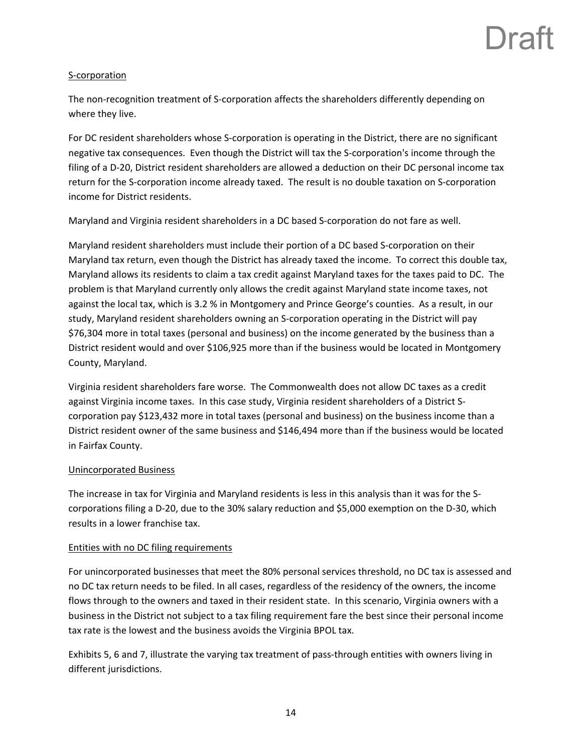## Ira<sup>'</sup>

### S‐corporation

The non-recognition treatment of S-corporation affects the shareholders differently depending on where they live.

For DC resident shareholders whose S‐corporation is operating in the District, there are no significant negative tax consequences. Even though the District will tax the S‐corporation's income through the filing of a D-20, District resident shareholders are allowed a deduction on their DC personal income tax return for the S‐corporation income already taxed. The result is no double taxation on S‐corporation income for District residents.

Maryland and Virginia resident shareholders in a DC based S‐corporation do not fare as well.

Maryland resident shareholders must include their portion of a DC based S‐corporation on their Maryland tax return, even though the District has already taxed the income. To correct this double tax, Maryland allows its residents to claim a tax credit against Maryland taxes for the taxes paid to DC. The problem is that Maryland currently only allows the credit against Maryland state income taxes, not against the local tax, which is 3.2 % in Montgomery and Prince George's counties. As a result, in our study, Maryland resident shareholders owning an S‐corporation operating in the District will pay \$76,304 more in total taxes (personal and business) on the income generated by the business than a District resident would and over \$106,925 more than if the business would be located in Montgomery County, Maryland.

Virginia resident shareholders fare worse. The Commonwealth does not allow DC taxes as a credit against Virginia income taxes. In this case study, Virginia resident shareholders of a District S‐ corporation pay \$123,432 more in total taxes (personal and business) on the business income than a District resident owner of the same business and \$146,494 more than if the business would be located in Fairfax County.

### Unincorporated Business

The increase in tax for Virginia and Maryland residents is less in this analysis than it was for the S‐ corporations filing a D‐20, due to the 30% salary reduction and \$5,000 exemption on the D‐30, which results in a lower franchise tax.

### Entities with no DC filing requirements

For unincorporated businesses that meet the 80% personal services threshold, no DC tax is assessed and no DC tax return needs to be filed. In all cases, regardless of the residency of the owners, the income flows through to the owners and taxed in their resident state. In this scenario, Virginia owners with a business in the District not subject to a tax filing requirement fare the best since their personal income tax rate is the lowest and the business avoids the Virginia BPOL tax.

Exhibits 5, 6 and 7, illustrate the varying tax treatment of pass‐through entities with owners living in different jurisdictions.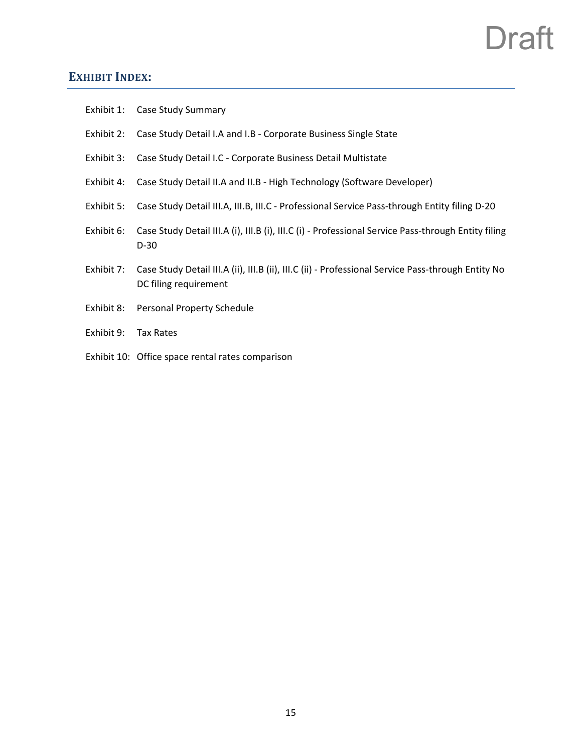## **EXHIBIT INDEX:**

|            | Exhibit 1: Case Study Summary                                                                                               |
|------------|-----------------------------------------------------------------------------------------------------------------------------|
| Exhibit 2: | Case Study Detail I.A and I.B - Corporate Business Single State                                                             |
| Exhibit 3: | Case Study Detail I.C - Corporate Business Detail Multistate                                                                |
| Exhibit 4: | Case Study Detail II.A and II.B - High Technology (Software Developer)                                                      |
| Exhibit 5: | Case Study Detail III.A, III.B, III.C - Professional Service Pass-through Entity filing D-20                                |
| Exhibit 6: | Case Study Detail III.A (i), III.B (i), III.C (i) - Professional Service Pass-through Entity filing<br>$D-30$               |
| Exhibit 7: | Case Study Detail III.A (ii), III.B (ii), III.C (ii) - Professional Service Pass-through Entity No<br>DC filing requirement |
| Exhibit 8: | Personal Property Schedule                                                                                                  |
| Exhibit 9: | Tax Rates                                                                                                                   |
|            | Exhibit 10: Office space rental rates comparison                                                                            |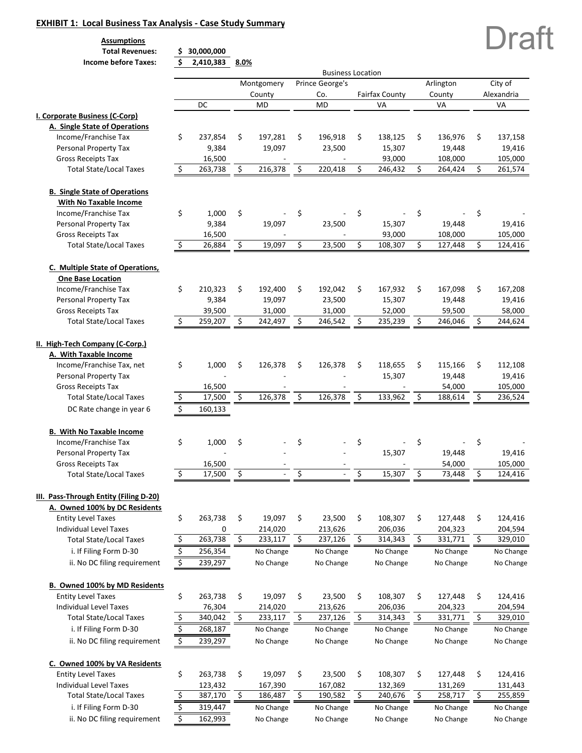#### **EXHIBIT 1: Local Business Tax Analysis ‐ Case Study Summary**

**Assumptions**

 **Total Revenues: 30,000,000 \$** 

| <b>Income before Taxes:</b>            | \$<br>2,410,383 | 8.0% |            |                          |                       |               |               |
|----------------------------------------|-----------------|------|------------|--------------------------|-----------------------|---------------|---------------|
|                                        |                 |      |            | <b>Business Location</b> |                       |               |               |
|                                        |                 |      | Montgomery | Prince George's          |                       | Arlington     | City of       |
|                                        |                 |      | County     | Co.                      | <b>Fairfax County</b> | County        | Alexandria    |
|                                        | DC              |      | <b>MD</b>  | <b>MD</b>                | VA                    | VA            | VA            |
| I. Corporate Business (C-Corp)         |                 |      |            |                          |                       |               |               |
| A. Single State of Operations          |                 |      |            |                          |                       |               |               |
| Income/Franchise Tax                   | \$<br>237,854   | \$   | 197,281    | \$<br>196,918            | \$<br>138,125         | \$<br>136,976 | \$<br>137,158 |
| Personal Property Tax                  | 9,384           |      | 19,097     | 23,500                   | 15,307                | 19,448        | 19,416        |
| <b>Gross Receipts Tax</b>              | 16,500          |      |            |                          | 93,000                | 108,000       | 105,000       |
| <b>Total State/Local Taxes</b>         | \$<br>263,738   | \$   | 216,378    | \$<br>220,418            | \$<br>246,432         | \$<br>264,424 | \$<br>261,574 |
|                                        |                 |      |            |                          |                       |               |               |
| <b>B. Single State of Operations</b>   |                 |      |            |                          |                       |               |               |
| With No Taxable Income                 |                 |      |            |                          |                       |               |               |
| Income/Franchise Tax                   | \$<br>1,000     | \$   |            | \$                       | \$                    | \$            | \$            |
| Personal Property Tax                  | 9,384           |      | 19,097     | 23,500                   | 15,307                | 19,448        | 19,416        |
| <b>Gross Receipts Tax</b>              | 16,500          |      |            |                          | 93,000                | 108,000       | 105,000       |
| <b>Total State/Local Taxes</b>         | \$<br>26,884    | \$   | 19,097     | \$<br>23,500             | \$<br>108,307         | \$<br>127,448 | \$<br>124,416 |
| C. Multiple State of Operations,       |                 |      |            |                          |                       |               |               |
| <b>One Base Location</b>               |                 |      |            |                          |                       |               |               |
| Income/Franchise Tax                   | \$<br>210,323   | \$   | 192,400    | \$<br>192,042            | \$<br>167,932         | \$<br>167,098 | \$<br>167,208 |
| Personal Property Tax                  | 9,384           |      | 19,097     | 23,500                   | 15,307                | 19,448        | 19,416        |
| <b>Gross Receipts Tax</b>              | 39,500          |      | 31,000     | 31,000                   | 52,000                | 59,500        | 58,000        |
| <b>Total State/Local Taxes</b>         | \$<br>259,207   | \$   | 242,497    | \$<br>246,542            | \$<br>235,239         | \$<br>246,046 | \$<br>244,624 |
|                                        |                 |      |            |                          |                       |               |               |
| II. High-Tech Company (C-Corp.)        |                 |      |            |                          |                       |               |               |
| A. With Taxable Income                 |                 |      |            |                          |                       |               |               |
| Income/Franchise Tax, net              | \$<br>1,000     | \$   | 126,378    | \$<br>126,378            | \$<br>118,655         | \$<br>115,166 | \$<br>112,108 |
| Personal Property Tax                  |                 |      |            |                          | 15,307                | 19,448        | 19,416        |
| <b>Gross Receipts Tax</b>              | 16,500          |      |            |                          |                       | 54,000        | 105,000       |
| <b>Total State/Local Taxes</b>         |                 | Ś.   | 126,378    | \$                       | \$                    | \$            | \$<br>236,524 |
|                                        | \$<br>17,500    |      |            | 126,378                  | 133,962               | 188,614       |               |
| DC Rate change in year 6               | \$<br>160,133   |      |            |                          |                       |               |               |
| <b>B. With No Taxable Income</b>       |                 |      |            |                          |                       |               |               |
| Income/Franchise Tax                   | \$<br>1,000     | \$   |            | \$                       | \$                    | \$            | \$            |
| Personal Property Tax                  |                 |      |            |                          | 15,307                | 19,448        | 19,416        |
| <b>Gross Receipts Tax</b>              | 16,500          |      |            |                          |                       | 54,000        | 105,000       |
| <b>Total State/Local Taxes</b>         | \$<br>17,500    | \$   |            | \$                       | \$<br>15,307          | \$<br>73,448  | \$<br>124,416 |
|                                        |                 |      |            |                          |                       |               |               |
| III. Pass-Through Entity (Filing D-20) |                 |      |            |                          |                       |               |               |
| A. Owned 100% by DC Residents          |                 |      |            |                          |                       |               |               |
| <b>Entity Level Taxes</b>              | \$<br>263,738   | \$   | 19,097     | \$<br>23,500             | \$<br>108,307         | \$<br>127,448 | \$<br>124,416 |
| Individual Level Taxes                 | 0               |      | 214,020    | 213,626                  | 206,036               | 204,323       | 204,594       |
| <b>Total State/Local Taxes</b>         | \$<br>263,738   | \$   | 233,117    | \$<br>237,126            | \$<br>314,343         | \$<br>331,771 | \$<br>329,010 |
| i. If Filing Form D-30                 | \$<br>256,354   |      | No Change  | No Change                | No Change             | No Change     | No Change     |
| ii. No DC filing requirement           | \$<br>239,297   |      | No Change  | No Change                | No Change             | No Change     | No Change     |
|                                        |                 |      |            |                          |                       |               |               |
| B. Owned 100% by MD Residents          |                 |      |            |                          |                       |               |               |
| <b>Entity Level Taxes</b>              | \$<br>263,738   | \$   | 19,097     | \$<br>23,500             | \$<br>108,307         | \$<br>127,448 | \$<br>124,416 |
| Individual Level Taxes                 | 76,304          |      | 214,020    | 213,626                  | 206,036               | 204,323       | 204,594       |
| <b>Total State/Local Taxes</b>         | \$<br>340,042   | \$   | 233,117    | \$<br>237,126            | \$<br>314,343         | \$<br>331,771 | \$<br>329,010 |
| i. If Filing Form D-30                 | \$<br>268,187   |      | No Change  | No Change                | No Change             | No Change     | No Change     |
| ii. No DC filing requirement           | \$<br>239,297   |      | No Change  | No Change                | No Change             | No Change     | No Change     |
|                                        |                 |      |            |                          |                       |               |               |
| C. Owned 100% by VA Residents          |                 |      |            |                          |                       |               |               |
| <b>Entity Level Taxes</b>              | \$<br>263,738   | \$   | 19,097     | \$<br>23,500             | \$<br>108,307         | \$<br>127,448 | \$<br>124,416 |
| Individual Level Taxes                 | 123,432         |      | 167,390    | 167,082                  | 132,369               | 131,269       | 131,443       |
| <b>Total State/Local Taxes</b>         | \$<br>387,170   | \$   | 186,487    | \$<br>190,582            | \$<br>240,676         | \$<br>258,717 | \$<br>255,859 |
| i. If Filing Form D-30                 | \$<br>319,447   |      | No Change  | No Change                | No Change             | No Change     | No Change     |
| ii. No DC filing requirement           | \$<br>162,993   |      | No Change  | No Change                | No Change             | No Change     | No Change     |

Draft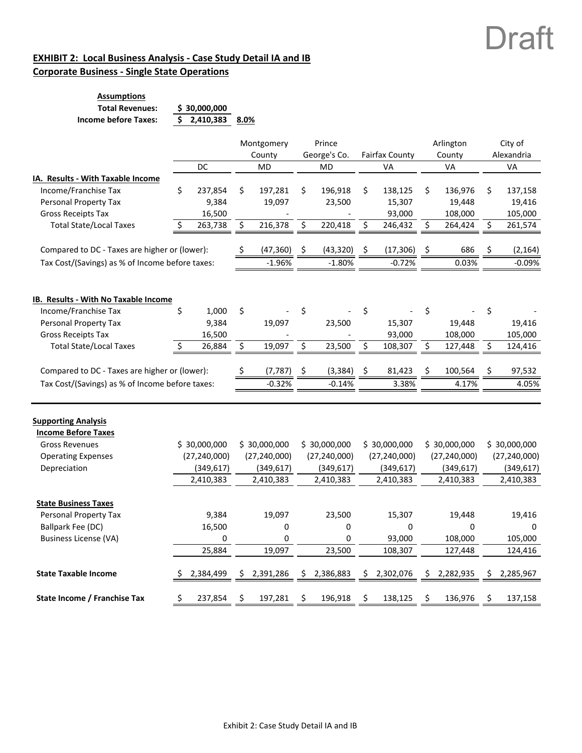### **EXHIBIT 2: Local Business Analysis ‐ Case Study Detail IA and IB Corporate Business ‐ Single State Operations**

| <b>Assumptions</b>     |                     |  |
|------------------------|---------------------|--|
| <b>Total Revenues:</b> | \$30,000,000        |  |
| Income before Taxes:   | \$2,410,383<br>8.0% |  |

|                                                          |     |                |    | Montgomery     |     | Prince         |    |                       |    | Arlington      | City of |                |  |  |
|----------------------------------------------------------|-----|----------------|----|----------------|-----|----------------|----|-----------------------|----|----------------|---------|----------------|--|--|
|                                                          |     |                |    | County         |     | George's Co.   |    | <b>Fairfax County</b> |    | County         |         | Alexandria     |  |  |
|                                                          |     | DC             |    | <b>MD</b>      |     | MD             |    | VA                    |    | VA             |         | VA             |  |  |
| IA. Results - With Taxable Income                        |     |                |    |                |     |                |    |                       |    |                |         |                |  |  |
| Income/Franchise Tax                                     | \$  | 237,854        | \$ | 197,281        | \$  | 196,918        | \$ | 138,125               | \$ | 136,976        | \$      | 137,158        |  |  |
| Personal Property Tax                                    |     | 9,384          |    | 19,097         |     | 23,500         |    | 15,307                |    | 19,448         |         | 19,416         |  |  |
| <b>Gross Receipts Tax</b>                                |     | 16,500         |    |                |     |                |    | 93,000                |    | 108,000        |         | 105,000        |  |  |
| <b>Total State/Local Taxes</b>                           |     | 263,738        | \$ | 216,378        | \$  | 220,418        | \$ | 246,432               | \$ | 264,424        | \$      | 261,574        |  |  |
| Compared to DC - Taxes are higher or (lower):            |     |                |    | (47, 360)      | Ş   | (43, 320)      | \$ | (17, 306)             | Ş  | 686            |         | (2, 164)       |  |  |
| Tax Cost/(Savings) as % of Income before taxes:          |     |                |    | $-1.96%$       |     | $-1.80%$       |    | $-0.72%$              |    | 0.03%          |         | $-0.09%$       |  |  |
| IB. Results - With No Taxable Income                     |     |                |    |                |     |                |    |                       |    |                |         |                |  |  |
| Income/Franchise Tax                                     | \$  | 1,000          | \$ |                | \$  |                | \$ |                       | \$ |                | \$      |                |  |  |
| Personal Property Tax                                    |     | 9,384          |    | 19,097         |     | 23,500         |    | 15,307                |    | 19,448         |         | 19,416         |  |  |
| <b>Gross Receipts Tax</b>                                |     | 16,500         |    |                |     |                |    | 93,000                |    | 108,000        |         | 105,000        |  |  |
| <b>Total State/Local Taxes</b>                           | \$. | 26,884         | \$ | 19,097         | \$  | 23,500         | \$ | 108,307               | \$ | 127,448        | \$      | 124,416        |  |  |
|                                                          |     |                |    |                |     |                |    |                       |    |                |         |                |  |  |
| Compared to DC - Taxes are higher or (lower):            |     |                |    | (7, 787)       | -\$ | (3, 384)       | S  | 81,423                | S  | 100,564        | S       | 97,532         |  |  |
| Tax Cost/(Savings) as % of Income before taxes:          |     |                |    | $-0.32%$       |     | $-0.14%$       |    | 3.38%                 |    | 4.17%          |         | 4.05%          |  |  |
|                                                          |     |                |    |                |     |                |    |                       |    |                |         |                |  |  |
| <b>Supporting Analysis</b><br><b>Income Before Taxes</b> |     |                |    |                |     |                |    |                       |    |                |         |                |  |  |
| <b>Gross Revenues</b>                                    |     | \$30,000,000   |    | \$30,000,000   |     | \$30,000,000   |    | \$30,000,000          |    | \$30,000,000   |         | \$30,000,000   |  |  |
| <b>Operating Expenses</b>                                |     | (27, 240, 000) |    | (27, 240, 000) |     | (27, 240, 000) |    | (27, 240, 000)        |    | (27, 240, 000) |         | (27, 240, 000) |  |  |
| Depreciation                                             |     | (349, 617)     |    | (349, 617)     |     | (349, 617)     |    | (349, 617)            |    | (349, 617)     |         | (349, 617)     |  |  |
|                                                          |     | 2,410,383      |    | 2,410,383      |     | 2,410,383      |    | 2,410,383             |    | 2,410,383      |         | 2,410,383      |  |  |
| <b>State Business Taxes</b>                              |     |                |    |                |     |                |    |                       |    |                |         |                |  |  |
| Personal Property Tax                                    |     | 9,384          |    | 19,097         |     | 23,500         |    | 15,307                |    | 19,448         |         | 19,416         |  |  |
| <b>Ballpark Fee (DC)</b>                                 |     | 16,500         |    | 0              |     | 0              |    | 0                     |    | 0              |         | 0              |  |  |
| <b>Business License (VA)</b>                             |     | 0              |    | 0              |     | 0              |    | 93,000                |    | 108,000        |         | 105,000        |  |  |
|                                                          |     | 25,884         |    | 19,097         |     | 23,500         |    | 108,307               |    | 127,448        |         | 124,416        |  |  |
| <b>State Taxable Income</b>                              |     | 2,384,499      | S  | 2,391,286      | S   | 2,386,883      | Ś  | 2,302,076             | \$ | 2,282,935      | S       | 2,285,967      |  |  |
| State Income / Franchise Tax                             | Ś   | 237,854        | Ś  | 197,281        | \$  | 196,918        | Ś  | 138,125               | \$ | 136,976        | Ś       | 137,158        |  |  |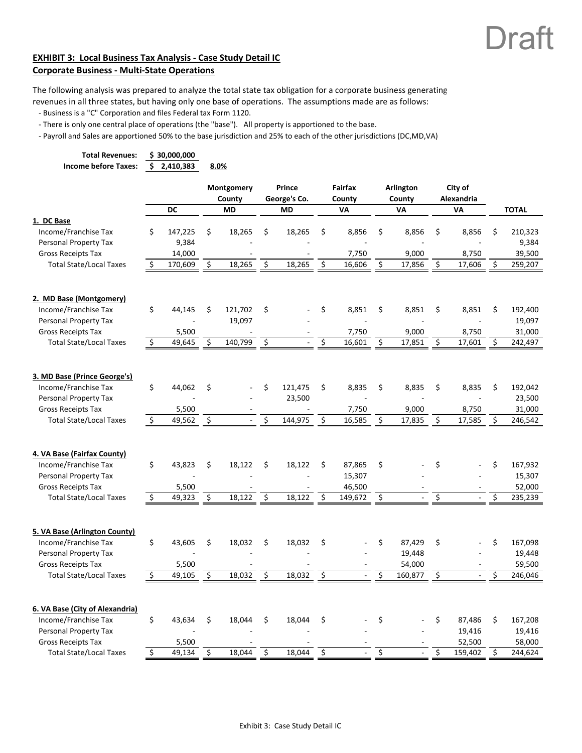### **EXHIBIT 3: Local Business Tax Analysis ‐ Case Study Detail IC Corporate Business ‐ Multi‐State Operations**

The following analysis was prepared to analyze the total state tax obligation for a corporate business generating revenues in all three states, but having only one base of operations. The assumptions made are as follows:

‐ Business is a "C" Corporation and files Federal tax Form 1120.

‐ There is only one central place of operations (the "base"). All property is apportioned to the base.

‐ Payroll and Sales are apportioned 50% to the base jurisdiction and 25% to each of the other jurisdictions (DC,MD,VA)

| <b>Total Revenues:</b>                                                                                        |                     | \$30,000,000    |                         |                            |                                     |                                |    |                           |    |                             |    |                             |
|---------------------------------------------------------------------------------------------------------------|---------------------|-----------------|-------------------------|----------------------------|-------------------------------------|--------------------------------|----|---------------------------|----|-----------------------------|----|-----------------------------|
| <b>Income before Taxes:</b>                                                                                   | \$.                 | 2,410,383       |                         | 8.0%                       |                                     |                                |    |                           |    |                             |    |                             |
|                                                                                                               |                     | DC              |                         | Montgomery<br>County<br>MD | Prince<br>George's Co.<br><b>MD</b> | <b>Fairfax</b><br>County<br>VA |    | Arlington<br>County<br>VA |    | City of<br>Alexandria<br>VA |    | <b>TOTAL</b>                |
| 1. DC Base                                                                                                    |                     |                 |                         |                            |                                     |                                |    |                           |    |                             |    |                             |
| Income/Franchise Tax                                                                                          | \$                  | 147,225         | \$                      | 18,265                     | \$<br>18,265                        | \$<br>8,856                    | \$ | 8,856                     | \$ | 8,856                       | \$ | 210,323                     |
| Personal Property Tax                                                                                         |                     | 9,384           |                         |                            |                                     |                                |    |                           |    |                             |    | 9,384                       |
| <b>Gross Receipts Tax</b>                                                                                     |                     | 14,000          |                         |                            |                                     | 7,750                          |    | 9,000                     |    | 8,750                       |    | 39,500                      |
| <b>Total State/Local Taxes</b>                                                                                | Ś                   | 170,609         | \$                      | 18,265                     | \$<br>18,265                        | \$<br>16,606                   | Ś. | 17,856                    | Ś. | 17,606                      | Ś  | 259,207                     |
| 2. MD Base (Montgomery)                                                                                       |                     |                 |                         |                            |                                     |                                |    |                           |    |                             |    |                             |
| Income/Franchise Tax                                                                                          | \$                  | 44,145          | \$                      | 121,702                    | \$                                  | \$<br>8,851                    | \$ | 8,851                     | \$ | 8,851                       | \$ | 192,400                     |
| Personal Property Tax                                                                                         |                     |                 |                         | 19,097                     |                                     |                                |    |                           |    |                             |    | 19,097                      |
| <b>Gross Receipts Tax</b>                                                                                     |                     | 5,500           |                         |                            |                                     | 7,750                          |    | 9,000                     |    | 8,750                       |    | 31,000                      |
| <b>Total State/Local Taxes</b>                                                                                | $\ddot{\mathsf{S}}$ | 49,645          | \$                      | 140,799                    | \$<br>$\overline{\phantom{a}}$      | \$<br>16,601                   | \$ | 17,851                    | \$ | 17,601                      | \$ | 242,497                     |
|                                                                                                               |                     |                 |                         |                            |                                     |                                |    |                           |    |                             |    |                             |
| 3. MD Base (Prince George's)<br>Income/Franchise Tax<br>Personal Property Tax<br><b>Gross Receipts Tax</b>    | \$                  | 44,062<br>5,500 | \$                      |                            | \$<br>121,475<br>23,500             | \$<br>8,835<br>7,750           | \$ | 8,835<br>9,000            | \$ | 8,835<br>8,750              | \$ | 192,042<br>23,500<br>31,000 |
| <b>Total State/Local Taxes</b>                                                                                | \$                  | 49,562          | \$                      |                            | \$<br>144,975                       | \$<br>16,585                   | \$ | 17,835                    | \$ | 17,585                      |    | 246,542                     |
|                                                                                                               |                     |                 |                         |                            |                                     |                                |    |                           |    |                             |    |                             |
| 4. VA Base (Fairfax County)<br>Income/Franchise Tax                                                           | \$                  | 43,823          | \$                      | 18,122                     | \$<br>18,122                        | \$<br>87,865                   | \$ |                           | \$ |                             | \$ | 167,932                     |
| Personal Property Tax                                                                                         |                     |                 |                         |                            |                                     | 15,307                         |    |                           |    |                             |    | 15,307                      |
| <b>Gross Receipts Tax</b>                                                                                     |                     | 5,500           |                         |                            |                                     | 46,500                         |    |                           |    |                             |    | 52,000                      |
| <b>Total State/Local Taxes</b>                                                                                | \$                  | 49,323          | \$                      | 18,122                     | \$<br>18,122                        | \$<br>149,672                  | \$ | $\overline{\phantom{a}}$  | \$ | $\sim$                      | Ś  | 235,239                     |
|                                                                                                               |                     |                 |                         |                            |                                     |                                |    |                           |    |                             |    |                             |
| 5. VA Base (Arlington County)<br>Income/Franchise Tax                                                         | \$                  | 43,605          | \$                      | 18,032                     | \$<br>18,032                        | \$                             | \$ | 87,429                    | \$ |                             | \$ | 167,098                     |
| Personal Property Tax                                                                                         |                     |                 |                         |                            |                                     |                                |    | 19,448                    |    |                             |    | 19,448                      |
| <b>Gross Receipts Tax</b>                                                                                     |                     | 5,500           |                         |                            |                                     |                                |    | 54,000                    |    |                             |    | 59,500                      |
| <b>Total State/Local Taxes</b>                                                                                | \$                  | 49,105          | \$                      | 18,032                     | \$<br>18,032                        | \$                             | \$ | 160,877                   | \$ |                             | Ś  | 246,046                     |
| 6. VA Base (City of Alexandria)<br>Income/Franchise Tax<br>Personal Property Tax<br><b>Gross Receipts Tax</b> | \$                  | 43,634<br>5,500 | \$                      | 18,044                     | \$<br>18,044                        | \$                             | \$ |                           | \$ | 87,486<br>19,416<br>52,500  | Ŝ. | 167,208<br>19,416<br>58,000 |
| <b>Total State/Local Taxes</b>                                                                                | \$                  | 49,134          | $\overline{\mathsf{S}}$ | 18,044                     | \$<br>18,044                        | \$                             | \$ |                           | Ś. | 159,402                     | Ŝ. | 244,624                     |
|                                                                                                               |                     |                 |                         |                            |                                     |                                |    |                           |    |                             |    |                             |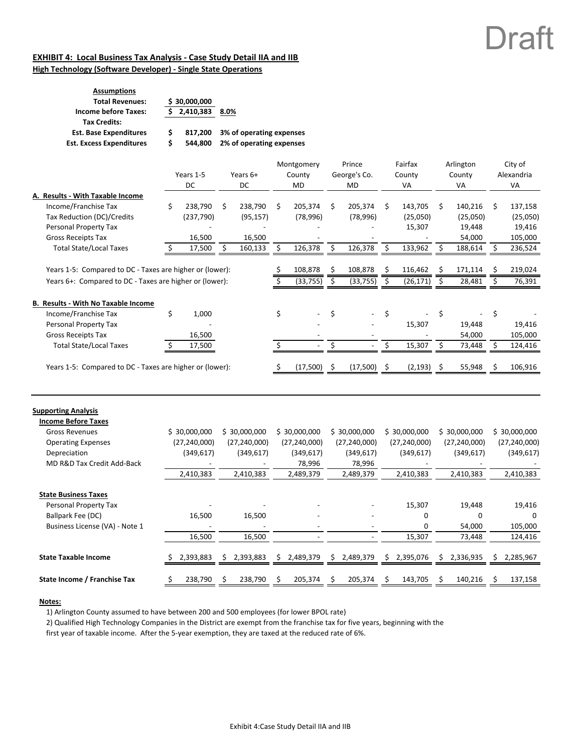#### **EXHIBIT 4: Local Business Tax Analysis ‐ Case Study Detail IIA and IIB High Technology (Software Developer) ‐ Single State Operations**

| <b>Assumptions</b><br><b>Total Revenues:</b>       |   | \$30,000,000 |                          |
|----------------------------------------------------|---|--------------|--------------------------|
| <b>Income before Taxes:</b><br><b>Tax Credits:</b> |   | 2,410,383    | 8.0%                     |
| <b>Est. Base Expenditures</b>                      | S | 817.200      | 3% of operating expenses |
| <b>Est. Excess Expenditures</b>                    | Ś | 544.800      | 2% of operating expenses |

|                                                                                                                          |     | Years 1-5<br>DC                |     | Years 6+<br>DC                 |    | Montgomery<br>County<br>MD     |    | Prince<br>George's Co.<br>MD   |     | Fairfax<br>County<br>VA        |    | Arlington<br>County<br>VA      |     | City of<br>Alexandria<br>VA    |
|--------------------------------------------------------------------------------------------------------------------------|-----|--------------------------------|-----|--------------------------------|----|--------------------------------|----|--------------------------------|-----|--------------------------------|----|--------------------------------|-----|--------------------------------|
| A. Results - With Taxable Income                                                                                         |     |                                |     |                                |    |                                |    |                                |     |                                |    |                                |     |                                |
| Income/Franchise Tax                                                                                                     | \$  | 238,790                        | \$  | 238,790                        | Ŝ. | 205,374                        | Ŝ. | 205,374                        | Ŝ.  | 143,705                        | \$ | 140,216                        | \$  | 137,158                        |
| Tax Reduction (DC)/Credits                                                                                               |     | (237, 790)                     |     | (95, 157)                      |    | (78, 996)                      |    | (78, 996)                      |     | (25,050)                       |    | (25,050)                       |     | (25,050)                       |
| Personal Property Tax                                                                                                    |     |                                |     |                                |    |                                |    |                                |     | 15,307                         |    | 19,448                         |     | 19,416                         |
| <b>Gross Receipts Tax</b>                                                                                                |     | 16,500                         |     | 16,500                         |    |                                |    |                                |     |                                |    | 54,000                         |     | 105,000                        |
| <b>Total State/Local Taxes</b>                                                                                           | S   | 17,500                         | \$. | 160,133                        | \$ | 126,378                        | \$ | 126,378                        | Ŝ.  | 133,962                        | S  | 188,614                        | S   | 236,524                        |
| Years 1-5: Compared to DC - Taxes are higher or (lower):                                                                 |     |                                |     |                                | \$ | 108,878                        | \$ | 108,878                        | \$  | 116,462                        | \$ | 171,114                        | \$. | 219,024                        |
| Years 6+: Compared to DC - Taxes are higher or (lower):                                                                  |     |                                |     |                                |    | (33, 755)                      | \$ | (33, 755)                      | -\$ | (26, 171)                      | \$ | 28,481                         |     | 76,391                         |
| <b>B. Results - With No Taxable Income</b><br>Income/Franchise Tax<br>Personal Property Tax<br><b>Gross Receipts Tax</b> | \$  | 1,000<br>16,500                |     |                                | \$ |                                | \$ |                                | Ś.  | 15,307                         | \$ | 19,448<br>54,000               | \$  | 19,416<br>105,000              |
| <b>Total State/Local Taxes</b>                                                                                           | \$. | 17,500                         |     |                                |    |                                | \$ |                                | Ś   | 15,307                         | S  | 73,448                         |     | 124,416                        |
| Years 1-5: Compared to DC - Taxes are higher or (lower):                                                                 |     |                                |     |                                |    | $(17,500)$ \$                  |    | $(17,500)$ \$                  |     | $(2, 193)$ \$                  |    | 55,948                         |     | 106,916                        |
| <b>Supporting Analysis</b><br><b>Income Before Taxes</b><br><b>Gross Revenues</b><br><b>Operating Expenses</b>           |     | \$30,000,000<br>(27, 240, 000) |     | \$30,000,000<br>(27, 240, 000) |    | \$30,000,000<br>(27, 240, 000) |    | \$30,000,000<br>(27, 240, 000) |     | \$30,000,000<br>(27, 240, 000) |    | \$30,000,000<br>(27, 240, 000) |     | \$30,000,000<br>(27, 240, 000) |

| Depreciation                   | (349,617) |    | (349,617) |    | (349,617) |    | (349,617) |    | (349, 617) |   | (349,617) | (349, 617) |
|--------------------------------|-----------|----|-----------|----|-----------|----|-----------|----|------------|---|-----------|------------|
| MD R&D Tax Credit Add-Back     |           |    |           |    | 78,996    |    | 78,996    |    |            |   |           |            |
|                                | 2,410,383 |    | 2,410,383 |    | 2,489,379 |    | 2,489,379 |    | 2,410,383  |   | 2,410,383 | 2,410,383  |
| <b>State Business Taxes</b>    |           |    |           |    |           |    |           |    |            |   |           |            |
| Personal Property Tax          |           |    |           |    |           |    |           |    | 15,307     |   | 19,448    | 19,416     |
| Ballpark Fee (DC)              | 16,500    |    | 16,500    |    |           |    |           |    | $\Omega$   |   | $\Omega$  | $\Omega$   |
| Business License (VA) - Note 1 |           |    |           |    |           |    |           |    | $\Omega$   |   | 54,000    | 105,000    |
|                                | 16,500    |    | 16,500    |    |           |    |           |    | 15,307     |   | 73,448    | 124,416    |
| <b>State Taxable Income</b>    | 2,393,883 | S. | 2,393,883 | S. | 2,489,379 | S. | 2,489,379 | S. | 2,395,076  | ς | 2,336,935 | 2,285,967  |
|                                |           |    |           |    |           |    |           |    |            |   |           |            |
| State Income / Franchise Tax   | 238,790   |    | 238,790   |    | 205,374   |    | 205,374   |    | 143,705    |   | 140,216   | 137,158    |

#### **Notes:**

1) Arlington County assumed to have between 200 and 500 employees (for lower BPOL rate)

2) Qualified High Technology Companies in the District are exempt from the franchise tax for five years, beginning with the

first year of taxable income. After the 5‐year exemption, they are taxed at the reduced rate of 6%.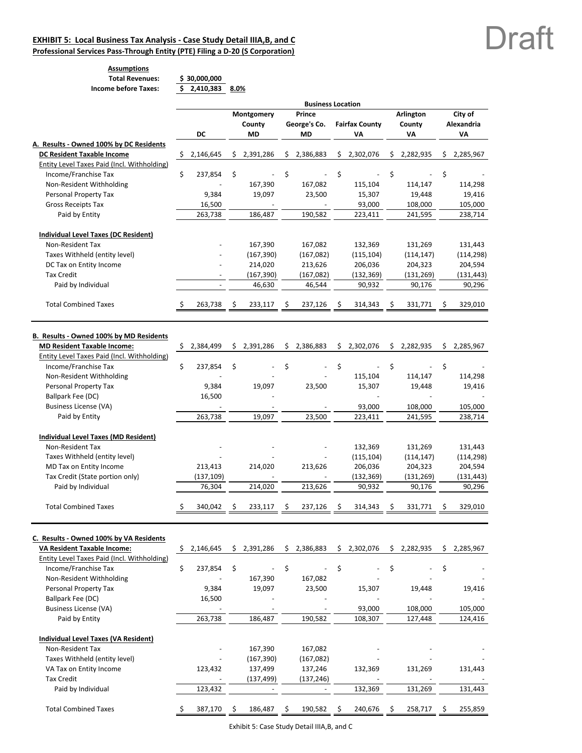#### **EXHIBIT 5: Local Business Tax Analysis ‐ Case Study Detail IIIA,B, and C**

**Professional Services Pass‐Through Entity (PTE) Filing a D‐20 (S Corporation)**

## Draft

#### **Assumptions Total Revenues: 30,000,000 \$ Income before Taxes: 2,410,383 \$ 8.0%**

|  | \$30,000,000 |      |
|--|--------------|------|
|  | 2,410,383    | 8.0% |

|                                                          |     |                          |    |                             |     | <b>Business Location</b> |    |                       |     |            |    |             |
|----------------------------------------------------------|-----|--------------------------|----|-----------------------------|-----|--------------------------|----|-----------------------|-----|------------|----|-------------|
|                                                          |     |                          |    | Montgomery                  |     | Prince                   |    |                       |     | Arlington  |    | City of     |
|                                                          |     |                          |    | County                      |     | George's Co.             |    | <b>Fairfax County</b> |     | County     |    | Alexandria  |
|                                                          |     | DC                       |    | MD                          |     | <b>MD</b>                |    | ٧Α                    |     | VA         |    | VA          |
| A. Results - Owned 100% by DC Residents                  |     |                          |    |                             |     |                          |    |                       |     |            |    |             |
| <b>DC Resident Taxable Income</b>                        | -\$ | 2,146,645                |    | \$2,391,286                 |     | \$2,386,883              |    | \$2,302,076           | \$. | 2,282,935  |    | \$2,285,967 |
| Entity Level Taxes Paid (Incl. Withholding)              |     |                          |    |                             |     |                          |    |                       |     |            |    |             |
| Income/Franchise Tax                                     | \$  | 237,854                  | \$ |                             | \$  |                          | \$ |                       | \$  |            | \$ |             |
| Non-Resident Withholding                                 |     |                          |    | 167,390                     |     | 167,082                  |    | 115,104               |     | 114,147    |    | 114,298     |
| Personal Property Tax                                    |     | 9,384                    |    | 19,097                      |     | 23,500                   |    | 15,307                |     | 19,448     |    | 19,416      |
| <b>Gross Receipts Tax</b>                                |     | 16,500                   |    |                             |     |                          |    | 93,000                |     | 108,000    |    | 105,000     |
| Paid by Entity                                           |     | 263,738                  |    | 186,487                     |     | 190,582                  |    | 223,411               |     | 241,595    |    | 238,714     |
| Individual Level Taxes (DC Resident)                     |     |                          |    |                             |     |                          |    |                       |     |            |    |             |
| Non-Resident Tax                                         |     |                          |    | 167,390                     |     | 167,082                  |    | 132,369               |     | 131,269    |    | 131,443     |
|                                                          |     |                          |    |                             |     |                          |    |                       |     |            |    |             |
| Taxes Withheld (entity level)<br>DC Tax on Entity Income |     |                          |    | (167, 390)                  |     | (167,082)                |    | (115, 104)            |     | (114, 147) |    | (114, 298)  |
|                                                          |     |                          |    | 214,020                     |     | 213,626                  |    | 206,036               |     | 204,323    |    | 204,594     |
| <b>Tax Credit</b>                                        |     |                          |    | (167, 390)                  |     | (167,082)                |    | (132, 369)            |     | (131, 269) |    | (131, 443)  |
| Paid by Individual                                       |     |                          |    | 46,630                      |     | 46,544                   |    | 90,932                |     | 90,176     |    | 90,296      |
| <b>Total Combined Taxes</b>                              |     | 263,738                  | S  | 233,117                     |     | 237,126                  | S  | 314,343               | S   | 331,771    | \$ | 329,010     |
|                                                          |     |                          |    |                             |     |                          |    |                       |     |            |    |             |
| B. Results - Owned 100% by MD Residents                  |     |                          |    |                             |     |                          |    |                       |     |            |    |             |
| <b>MD Resident Taxable Income:</b>                       | \$  | 2,384,499                | \$ | 2,391,286                   | \$  | 2,386,883                | \$ | 2,302,076             | \$  | 2,282,935  |    | \$2,285,967 |
| Entity Level Taxes Paid (Incl. Withholding)              |     |                          |    |                             |     |                          |    |                       |     |            |    |             |
| Income/Franchise Tax                                     | \$  | 237,854                  | \$ |                             | \$  |                          | \$ |                       | \$  |            | \$ |             |
| Non-Resident Withholding                                 |     |                          |    |                             |     |                          |    | 115,104               |     | 114,147    |    | 114,298     |
| Personal Property Tax                                    |     | 9,384                    |    | 19,097                      |     | 23,500                   |    | 15,307                |     | 19,448     |    | 19,416      |
| Ballpark Fee (DC)                                        |     | 16,500                   |    |                             |     |                          |    |                       |     |            |    |             |
| <b>Business License (VA)</b>                             |     |                          |    |                             |     |                          |    | 93,000                |     | 108,000    |    | 105,000     |
| Paid by Entity                                           |     | 263,738                  |    | 19,097                      |     | 23,500                   |    | 223,411               |     | 241,595    |    | 238,714     |
|                                                          |     |                          |    |                             |     |                          |    |                       |     |            |    |             |
| Individual Level Taxes (MD Resident)                     |     |                          |    |                             |     |                          |    |                       |     |            |    |             |
| Non-Resident Tax                                         |     |                          |    |                             |     |                          |    | 132,369               |     | 131,269    |    | 131,443     |
| Taxes Withheld (entity level)                            |     |                          |    |                             |     |                          |    | (115, 104)            |     | (114, 147) |    | (114, 298)  |
| MD Tax on Entity Income                                  |     | 213,413                  |    | 214,020                     |     | 213,626                  |    | 206,036               |     | 204,323    |    | 204,594     |
| Tax Credit (State portion only)                          |     | (137, 109)               |    |                             |     |                          |    | (132, 369)            |     | (131, 269) |    | (131, 443)  |
| Paid by Individual                                       |     | 76,304                   |    | 214,020                     |     | 213,626                  |    | 90,932                |     | 90,176     |    | 90,296      |
| <b>Total Combined Taxes</b>                              |     | 340,042                  | Ş  | 233,117                     | S   | 237,126                  | Ş  | 314,343               | S   | 331,771    | S  | 329,010     |
|                                                          |     |                          |    |                             |     |                          |    |                       |     |            |    |             |
| C. Results - Owned 100% by VA Residents                  |     |                          |    |                             |     |                          |    |                       |     |            |    |             |
| <b>VA Resident Taxable Income:</b>                       | \$  | 2,146,645                |    | \$2,391,286                 |     | \$2,386,883              |    | \$2,302,076           | \$  | 2,282,935  | \$ | 2,285,967   |
| Entity Level Taxes Paid (Incl. Withholding)              |     |                          |    |                             |     |                          |    |                       |     |            |    |             |
| Income/Franchise Tax                                     | \$  | 237,854                  | \$ |                             | \$  |                          | \$ |                       | \$  |            | \$ |             |
| Non-Resident Withholding                                 |     |                          |    | 167,390                     |     | 167,082                  |    |                       |     |            |    |             |
| Personal Property Tax                                    |     | 9,384                    |    | 19,097                      |     | 23,500                   |    | 15,307                |     | 19,448     |    | 19,416      |
| Ballpark Fee (DC)                                        |     | 16,500                   |    |                             |     |                          |    |                       |     |            |    |             |
| <b>Business License (VA)</b>                             |     |                          |    |                             |     |                          |    | 93,000                |     | 108,000    |    | 105,000     |
| Paid by Entity                                           |     | 263,738                  |    | 186,487                     |     | 190,582                  |    | 108,307               |     | 127,448    |    | 124,416     |
| Individual Level Taxes (VA Resident)                     |     |                          |    |                             |     |                          |    |                       |     |            |    |             |
| Non-Resident Tax                                         |     |                          |    | 167,390                     |     | 167,082                  |    |                       |     |            |    |             |
| Taxes Withheld (entity level)                            |     |                          |    |                             |     |                          |    |                       |     |            |    |             |
|                                                          |     |                          |    | (167, 390)                  |     | (167,082)                |    |                       |     |            |    |             |
| VA Tax on Entity Income                                  |     | 123,432                  |    | 137,499                     |     | 137,246                  |    | 132,369               |     | 131,269    |    | 131,443     |
| <b>Tax Credit</b><br>Paid by Individual                  |     | $\frac{1}{2}$<br>123,432 |    | (137,499)<br>$\blacksquare$ |     | (137, 246)               |    | 132,369               |     | 131,269    |    | 131,443     |
|                                                          |     |                          |    |                             |     |                          |    |                       |     |            |    |             |
| <b>Total Combined Taxes</b>                              |     | 387,170                  | \$ | 186,487                     | \$. | 190,582                  | \$ | 240,676               | \$  | 258,717    | -Ş | 255,859     |

Exhibit 5: Case Study Detail IIIA,B, and C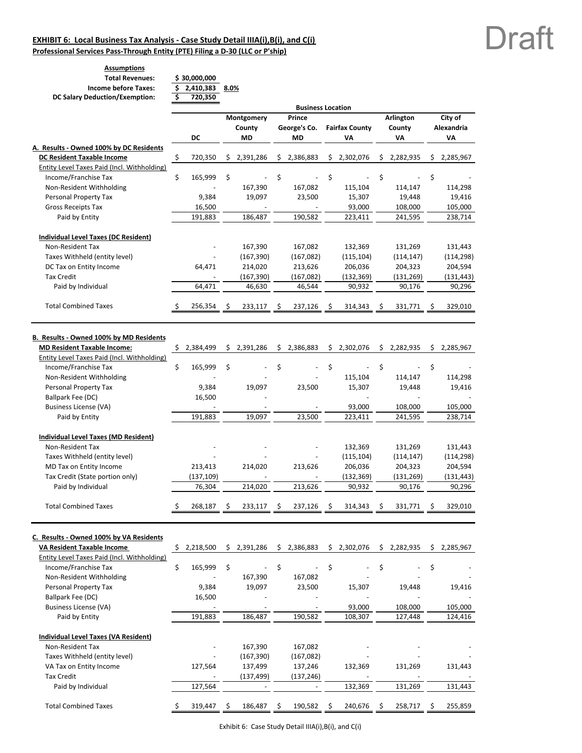#### **EXHIBIT 6: Local Business Tax Analysis ‐ Case Study Detail IIIA(i),B(i), and C(i) Professional Services Pass‐Through Entity (PTE) Filing a D‐30 (LLC or P'ship)**

**Assumptions**

| ASSUILIPUULIS                         |              |      |
|---------------------------------------|--------------|------|
| <b>Total Revenues:</b>                | \$30,000,000 |      |
| <b>Income before Taxes:</b>           | \$2,410,383  | 8.0% |
| <b>DC Salary Deduction/Exemption:</b> | 720,350      |      |
|                                       |              |      |

|                                             |                 |     |            |    | <b>Business Location</b> |    |                       |    |                  |    |            |
|---------------------------------------------|-----------------|-----|------------|----|--------------------------|----|-----------------------|----|------------------|----|------------|
|                                             |                 |     | Montgomery |    | Prince                   |    |                       |    | <b>Arlington</b> |    | City of    |
|                                             |                 |     | County     |    | George's Co.             |    | <b>Fairfax County</b> |    | County           |    | Alexandria |
|                                             | DC              |     | <b>MD</b>  |    | MD                       |    | V٨                    |    | VA               |    | VA         |
| A. Results - Owned 100% by DC Residents     |                 |     |            |    |                          |    |                       |    |                  |    |            |
| <b>DC Resident Taxable Income</b>           | \$<br>720,350   | S   | 2,391,286  | \$ | 2,386,883                | \$ | 2,302,076             | \$ | 2,282,935        | Ś  | 2,285,967  |
| Entity Level Taxes Paid (Incl. Withholding) |                 |     |            |    |                          |    |                       |    |                  |    |            |
| Income/Franchise Tax                        | \$<br>165,999   | \$  |            | \$ |                          | \$ |                       | \$ |                  | \$ |            |
| Non-Resident Withholding                    |                 |     | 167,390    |    | 167,082                  |    | 115,104               |    | 114,147          |    | 114,298    |
| Personal Property Tax                       | 9,384           |     | 19,097     |    | 23,500                   |    | 15,307                |    | 19,448           |    | 19,416     |
| <b>Gross Receipts Tax</b>                   | 16,500          |     |            |    |                          |    | 93,000                |    | 108,000          |    | 105,000    |
| Paid by Entity                              | 191,883         |     | 186,487    |    | 190,582                  |    | 223,411               |    | 241,595          |    | 238,714    |
| Individual Level Taxes (DC Resident)        |                 |     |            |    |                          |    |                       |    |                  |    |            |
| Non-Resident Tax                            |                 |     | 167,390    |    | 167,082                  |    | 132,369               |    | 131,269          |    | 131,443    |
| Taxes Withheld (entity level)               |                 |     | (167, 390) |    | (167,082)                |    | (115, 104)            |    | (114, 147)       |    | (114, 298) |
| DC Tax on Entity Income                     | 64,471          |     | 214,020    |    | 213,626                  |    | 206,036               |    | 204,323          |    | 204,594    |
| <b>Tax Credit</b>                           | L,              |     | (167, 390) |    | (167,082)                |    | (132, 369)            |    | (131, 269)       |    | (131, 443) |
| Paid by Individual                          | 64,471          |     | 46,630     |    | 46,544                   |    | 90,932                |    | 90,176           |    | 90,296     |
| <b>Total Combined Taxes</b>                 | 256,354         | \$. | 233,117    | S  | 237,126                  | Ś  | 314,343               | Ś  | 331,771          | Ŝ  | 329,010    |
|                                             |                 |     |            |    |                          |    |                       |    |                  |    |            |
|                                             |                 |     |            |    |                          |    |                       |    |                  |    |            |
| B. Results - Owned 100% by MD Residents     |                 |     |            |    |                          |    |                       |    |                  |    |            |
| <b>MD Resident Taxable Income:</b>          | \$<br>2,384,499 | Ŝ.  | 2,391,286  | \$ | 2,386,883                | \$ | 2,302,076             | \$ | 2,282,935        | \$ | 2,285,967  |
| Entity Level Taxes Paid (Incl. Withholding) |                 |     |            |    |                          |    |                       |    |                  |    |            |
| Income/Franchise Tax                        | \$<br>165,999   | \$  |            | \$ |                          | \$ |                       | \$ |                  | \$ |            |
| Non-Resident Withholding                    |                 |     |            |    |                          |    | 115,104               |    | 114,147          |    | 114,298    |
| Personal Property Tax                       | 9,384           |     | 19,097     |    | 23,500                   |    | 15,307                |    | 19,448           |    | 19,416     |
| Ballpark Fee (DC)                           | 16,500          |     |            |    |                          |    |                       |    |                  |    |            |
| <b>Business License (VA)</b>                |                 |     |            |    |                          |    | 93,000                |    | 108,000          |    | 105,000    |
| Paid by Entity                              | 191,883         |     | 19,097     |    | 23,500                   |    | 223,411               |    | 241,595          |    | 238,714    |
| Individual Level Taxes (MD Resident)        |                 |     |            |    |                          |    |                       |    |                  |    |            |
| Non-Resident Tax                            |                 |     |            |    |                          |    | 132,369               |    | 131,269          |    | 131,443    |
| Taxes Withheld (entity level)               |                 |     |            |    |                          |    | (115, 104)            |    | (114, 147)       |    | (114, 298) |
| MD Tax on Entity Income                     | 213,413         |     | 214,020    |    | 213,626                  |    | 206,036               |    | 204,323          |    | 204,594    |
| Tax Credit (State portion only)             | (137, 109)      |     |            |    |                          |    | (132, 369)            |    | (131, 269)       |    | (131, 443) |
| Paid by Individual                          | 76,304          |     | 214,020    |    | 213,626                  |    | 90,932                |    | 90,176           |    | 90,296     |
| <b>Total Combined Taxes</b>                 | 268,187         | \$  | 233,117    | S  | 237,126                  | Ś  | 314,343               | Ś  | 331,771          | Ś  | 329,010    |
|                                             |                 |     |            |    |                          |    |                       |    |                  |    |            |
| C. Results - Owned 100% by VA Residents     |                 |     |            |    |                          |    |                       |    |                  |    |            |
| VA Resident Taxable Income                  | \$<br>2,218,500 | Ś.  | 2,391,286  |    | \$2,386,883              |    | \$2,302,076           | \$ | 2,282,935        | Ś. | 2,285,967  |
| Entity Level Taxes Paid (Incl. Withholding) |                 |     |            |    |                          |    |                       |    |                  |    |            |
| Income/Franchise Tax                        | \$<br>165,999   | \$  |            | \$ |                          | \$ |                       | \$ |                  | \$ |            |
| Non-Resident Withholding                    |                 |     | 167,390    |    | 167,082                  |    |                       |    |                  |    |            |
| Personal Property Tax                       | 9,384           |     | 19,097     |    | 23,500                   |    | 15,307                |    | 19,448           |    | 19,416     |
| Ballpark Fee (DC)                           | 16,500          |     |            |    |                          |    |                       |    |                  |    |            |
| <b>Business License (VA)</b>                |                 |     |            |    |                          |    | 93,000                |    | 108,000          |    | 105,000    |
| Paid by Entity                              | 191,883         |     | 186,487    |    | 190,582                  |    | 108,307               |    | 127,448          |    | 124,416    |
|                                             |                 |     |            |    |                          |    |                       |    |                  |    |            |

Draft

|                                      | - - - - - | - - - -    |            | - - - - - |         |         |
|--------------------------------------|-----------|------------|------------|-----------|---------|---------|
| Individual Level Taxes (VA Resident) |           |            |            |           |         |         |
| Non-Resident Tax                     | -         | 167,390    | 167,082    |           |         |         |
| Taxes Withheld (entity level)        |           | (167, 390) | (167,082)  |           |         |         |
| VA Tax on Entity Income              | 127,564   | 137.499    | 137,246    | 132.369   | 131.269 | 131,443 |
| <b>Tax Credit</b>                    |           | (137, 499) | (137, 246) |           |         |         |
| Paid by Individual                   | 127,564   |            |            | 132.369   | 131.269 | 131,443 |
|                                      |           |            |            |           |         |         |
| <b>Total Combined Taxes</b>          | 319,447   | 186,487    | 190.582    | 240.676   | 258,717 | 255,859 |
|                                      |           |            |            |           |         |         |

Exhibit 6: Case Study Detail IIIA(i),B(i), and C(i)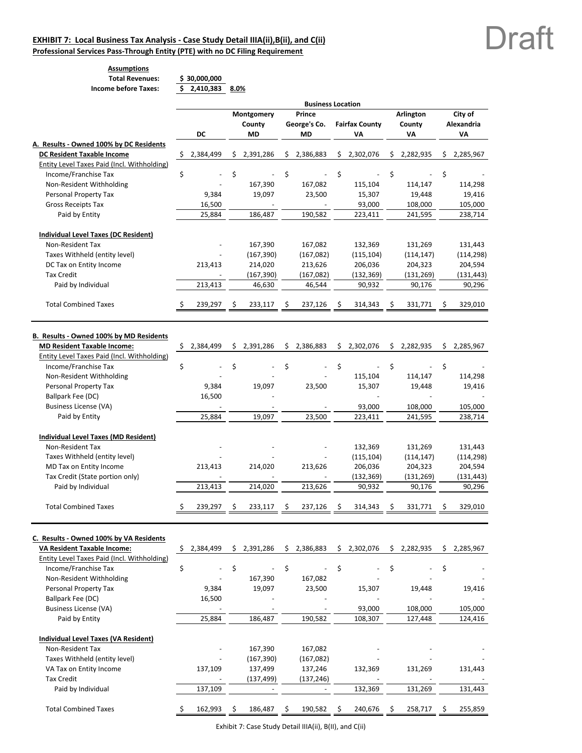### **EXHIBIT 7: Local Business Tax Analysis ‐ Case Study Detail IIIA(ii),B(ii), and C(ii)**

**Professional Services Pass‐Through Entity (PTE) with no DC Filing Requirement**

 $\overline{ }$ 

#### **Assumptions Total Revenues: 30,000,000 \$ Income before Taxes: 2,410,383 \$ 8.0%**

|                                                                              | <b>Business Location</b> |             |     |                |    |              |     |                       |    |                |    |             |
|------------------------------------------------------------------------------|--------------------------|-------------|-----|----------------|----|--------------|-----|-----------------------|----|----------------|----|-------------|
|                                                                              |                          |             |     | Montgomery     |    | Prince       |     |                       |    | Arlington      |    | City of     |
|                                                                              |                          |             |     | County         |    | George's Co. |     | <b>Fairfax County</b> |    | County         |    | Alexandria  |
|                                                                              |                          | DC          |     | <b>MD</b>      |    | MD           |     | ٧Α                    |    | VA             |    | VA          |
| A. Results - Owned 100% by DC Residents<br><b>DC Resident Taxable Income</b> |                          | \$2,384,499 |     |                |    |              |     |                       |    |                |    |             |
| Entity Level Taxes Paid (Incl. Withholding)                                  |                          |             | \$. | 2,391,286      | \$ | 2,386,883    | \$. | 2,302,076             | \$ | 2,282,935      | \$ | 2,285,967   |
| Income/Franchise Tax                                                         | \$                       |             | \$  |                | \$ |              | \$  |                       | \$ |                | \$ |             |
| Non-Resident Withholding                                                     |                          |             |     | 167,390        |    | 167,082      |     | 115,104               |    | 114,147        |    | 114,298     |
| Personal Property Tax                                                        |                          | 9,384       |     | 19,097         |    | 23,500       |     | 15,307                |    | 19,448         |    | 19,416      |
| <b>Gross Receipts Tax</b>                                                    |                          | 16,500      |     |                |    |              |     | 93,000                |    | 108,000        |    | 105,000     |
| Paid by Entity                                                               |                          | 25,884      |     | 186.487        |    | 190,582      |     | 223,411               |    | 241,595        |    | 238,714     |
|                                                                              |                          |             |     |                |    |              |     |                       |    |                |    |             |
| Individual Level Taxes (DC Resident)                                         |                          |             |     |                |    |              |     |                       |    |                |    |             |
| Non-Resident Tax                                                             |                          |             |     | 167,390        |    | 167,082      |     | 132,369               |    | 131,269        |    | 131,443     |
| Taxes Withheld (entity level)                                                |                          |             |     | (167, 390)     |    | (167,082)    |     | (115, 104)            |    | (114, 147)     |    | (114, 298)  |
| DC Tax on Entity Income                                                      |                          | 213,413     |     | 214,020        |    | 213,626      |     | 206,036               |    | 204,323        |    | 204,594     |
| <b>Tax Credit</b>                                                            |                          |             |     | (167, 390)     |    | (167, 082)   |     | (132, 369)            |    | (131, 269)     |    | (131, 443)  |
| Paid by Individual                                                           |                          | 213,413     |     | 46,630         |    | 46,544       |     | 90,932                |    | 90,176         |    | 90,296      |
|                                                                              |                          |             |     |                |    |              |     |                       |    |                |    |             |
| <b>Total Combined Taxes</b>                                                  |                          | 239,297     | S   | 233,117        | S  | 237,126      | \$  | 314,343               | \$ | 331,771        | S  | 329,010     |
|                                                                              |                          |             |     |                |    |              |     |                       |    |                |    |             |
| B. Results - Owned 100% by MD Residents                                      |                          |             |     |                |    |              |     |                       |    |                |    |             |
| <b>MD Resident Taxable Income:</b>                                           | \$                       | 2,384,499   | S.  | 2,391,286      | Ŝ. | 2,386,883    |     | \$2,302,076           |    | \$2,282,935    | S. | 2,285,967   |
| Entity Level Taxes Paid (Incl. Withholding)                                  |                          |             |     |                |    |              |     |                       |    |                |    |             |
| Income/Franchise Tax                                                         | \$                       |             | \$  | $\overline{a}$ | \$ |              | \$  | L,                    | \$ | $\blacksquare$ | \$ |             |
| Non-Resident Withholding                                                     |                          |             |     |                |    |              |     | 115,104               |    | 114,147        |    | 114,298     |
| Personal Property Tax                                                        |                          | 9,384       |     | 19,097         |    | 23,500       |     | 15,307                |    | 19,448         |    | 19,416      |
| Ballpark Fee (DC)                                                            |                          | 16,500      |     |                |    |              |     |                       |    |                |    |             |
| <b>Business License (VA)</b>                                                 |                          |             |     |                |    |              |     | 93,000                |    | 108,000        |    | 105,000     |
| Paid by Entity                                                               |                          | 25,884      |     | 19,097         |    | 23,500       |     | 223,411               |    | 241,595        |    | 238,714     |
|                                                                              |                          |             |     |                |    |              |     |                       |    |                |    |             |
| Individual Level Taxes (MD Resident)                                         |                          |             |     |                |    |              |     |                       |    |                |    |             |
| Non-Resident Tax                                                             |                          |             |     |                |    |              |     | 132,369               |    | 131,269        |    | 131,443     |
| Taxes Withheld (entity level)                                                |                          |             |     |                |    |              |     | (115, 104)            |    | (114, 147)     |    | (114, 298)  |
| MD Tax on Entity Income                                                      |                          | 213,413     |     | 214,020        |    | 213,626      |     | 206,036               |    | 204,323        |    | 204,594     |
| Tax Credit (State portion only)                                              |                          |             |     |                |    |              |     | (132, 369)            |    | (131, 269)     |    | (131, 443)  |
| Paid by Individual                                                           |                          | 213,413     |     | 214,020        |    | 213,626      |     | 90,932                |    | 90,176         |    | 90,296      |
|                                                                              |                          |             |     |                |    |              |     |                       |    |                |    |             |
| <b>Total Combined Taxes</b>                                                  |                          | 239,297     | S   | 233,117        | \$ | 237,126      |     | 314,343               | S  | 331,771        | Ś  | 329,010     |
|                                                                              |                          |             |     |                |    |              |     |                       |    |                |    |             |
| C. Results - Owned 100% by VA Residents                                      |                          |             |     |                |    |              |     |                       |    |                |    |             |
| <b>VA Resident Taxable Income:</b>                                           | Ş.                       | 2,384,499   |     | \$2,391,286    |    | \$2,386,883  |     | \$2,302,076           |    | \$2,282,935    |    | \$2,285,967 |
| Entity Level Taxes Paid (Incl. Withholding)                                  |                          |             |     |                |    |              |     |                       |    |                |    |             |
| Income/Franchise Tax                                                         | \$                       |             | \$  |                | \$ |              | \$  |                       | \$ |                | \$ |             |
| Non-Resident Withholding                                                     |                          |             |     | 167,390        |    | 167,082      |     |                       |    |                |    |             |
| Personal Property Tax                                                        |                          | 9,384       |     | 19,097         |    | 23,500       |     | 15,307                |    | 19,448         |    | 19,416      |
| Ballpark Fee (DC)                                                            |                          | 16,500      |     |                |    |              |     |                       |    |                |    |             |
| <b>Business License (VA)</b>                                                 |                          |             |     |                |    |              |     | 93,000                |    | 108,000        |    | 105,000     |
| Paid by Entity                                                               |                          | 25,884      |     | 186,487        |    | 190,582      |     | 108,307               |    | 127,448        |    | 124,416     |
|                                                                              |                          |             |     |                |    |              |     |                       |    |                |    |             |
| Individual Level Taxes (VA Resident)                                         |                          |             |     |                |    |              |     |                       |    |                |    |             |

| <b>Total Combined Taxes</b>   | 162.993                  | 186.487                  | 190.582    | 240.676                  | 258.717                  | 255,859 |
|-------------------------------|--------------------------|--------------------------|------------|--------------------------|--------------------------|---------|
| Paid by Individual            | 137,109                  | $\overline{\phantom{a}}$ |            | 132.369                  | 131.269                  | 131,443 |
| Tax Credit                    | $\overline{\phantom{a}}$ | (137.499)                | (137, 246) | $\overline{\phantom{0}}$ | $\overline{\phantom{0}}$ |         |
| VA Tax on Entity Income       | 137.109                  | 137.499                  | 137.246    | 132.369                  | 131.269                  | 131,443 |
| Taxes Withheld (entity level) | $\overline{\phantom{0}}$ | (167, 390)               | (167,082)  |                          |                          |         |
| Non-Resident Tax              | $\overline{\phantom{a}}$ | 167.390                  | 167.082    | $\overline{\phantom{0}}$ | $\overline{\phantom{0}}$ |         |
|                               |                          |                          |            |                          |                          |         |

Exhibit 7: Case Study Detail IIIA(ii), B(II), and C(ii)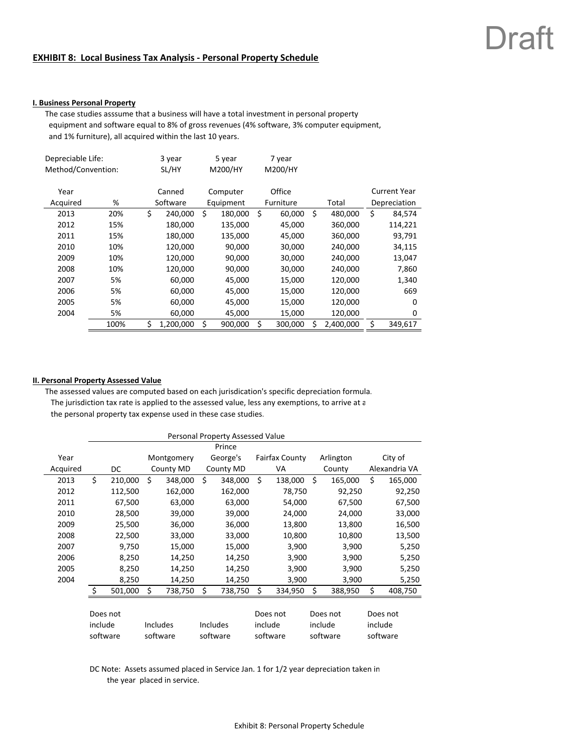#### **EXHIBIT 8: Local Business Tax Analysis ‐ Personal Property Schedule**

#### **I. Business Personal Property**

The case studies asssume that a business will have a total investment in personal property equipment and software equal to 8% of gross revenues (4% software, 3% computer equipment, and 1% furniture), all acquired within the last 10 years.

| Depreciable Life:  |      | 3 year          |        | 5 year    |        | 7 year    |    |           |                     |       |              |
|--------------------|------|-----------------|--------|-----------|--------|-----------|----|-----------|---------------------|-------|--------------|
| Method/Convention: |      | SL/HY           |        | M200/HY   |        | M200/HY   |    |           |                     |       |              |
|                    |      |                 |        |           |        |           |    |           |                     |       |              |
| Year               |      | Canned          |        | Computer  |        | Office    |    |           | <b>Current Year</b> |       |              |
| Acquired           | %    | Software        |        | Equipment |        | Furniture |    |           |                     | Total | Depreciation |
| 2013               | 20%  | \$<br>240,000   | Ś      | 180,000   | Ŝ.     | 60,000    | \$ | 480,000   | \$<br>84,574        |       |              |
| 2012               | 15%  | 180,000         |        | 135,000   |        | 45,000    |    | 360,000   | 114,221             |       |              |
| 2011               | 15%  | 180,000         |        | 135,000   |        | 45,000    |    | 360,000   | 93,791              |       |              |
| 2010               | 10%  | 120,000         |        | 90,000    |        | 30,000    |    | 240,000   | 34,115              |       |              |
| 2009               | 10%  | 120,000         |        | 90,000    |        | 30,000    |    | 240,000   | 13,047              |       |              |
| 2008               | 10%  | 120,000         |        | 90,000    |        | 30,000    |    | 240,000   | 7,860               |       |              |
| 2007               | 5%   | 60,000          |        | 45,000    |        | 15,000    |    | 120,000   | 1,340               |       |              |
| 2006               | 5%   | 60,000          |        | 45,000    |        | 15,000    |    | 120,000   | 669                 |       |              |
| 2005               | 5%   | 60,000          |        | 45,000    |        | 15,000    |    | 120,000   | $\Omega$            |       |              |
| 2004               | 5%   | 60,000          | 45,000 |           | 15,000 |           |    | 120,000   | 0                   |       |              |
|                    | 100% | \$<br>1,200,000 | \$     | 900,000   | \$     | 300,000   | Ś  | 2,400,000 | 349,617             |       |              |

#### **II. Personal Property Assessed Value**

The assessed values are computed based on each jurisdication's specific depreciation formula. The jurisdiction tax rate is applied to the assessed value, less any exemptions, to arrive at a the personal property tax expense used in these case studies.

|          | Personal Property Assessed Value |         |          |            |                                  |           |         |                       |          |           |         |               |  |
|----------|----------------------------------|---------|----------|------------|----------------------------------|-----------|---------|-----------------------|----------|-----------|---------|---------------|--|
|          |                                  |         |          |            |                                  | Prince    |         |                       |          |           |         |               |  |
| Year     |                                  |         |          | Montgomery |                                  | George's  |         | <b>Fairfax County</b> |          | Arlington |         | City of       |  |
| Acquired |                                  | DC      |          | County MD  |                                  | County MD | VA      |                       | County   |           |         | Alexandria VA |  |
| 2013     | \$                               | 210,000 | Ś.       | 348,000    | \$                               | 348,000   | Ś       | 138,000               | Ś.       | 165,000   | Ś.      | 165,000       |  |
| 2012     |                                  | 112,500 |          | 162,000    |                                  | 162,000   |         | 78,750                |          | 92,250    |         | 92,250        |  |
| 2011     |                                  | 67,500  |          | 63,000     |                                  | 63,000    |         | 54,000                |          | 67,500    |         | 67,500        |  |
| 2010     |                                  | 28,500  |          | 39,000     |                                  | 39,000    |         | 24,000                |          | 24,000    |         | 33,000        |  |
| 2009     |                                  | 25,500  |          | 36,000     |                                  | 36,000    |         | 13,800                |          | 13,800    |         | 16,500        |  |
| 2008     |                                  | 22,500  |          | 33,000     |                                  | 33,000    |         | 10,800                |          | 10,800    |         | 13,500        |  |
| 2007     |                                  | 9,750   |          | 15,000     |                                  | 15,000    |         | 3,900                 |          | 3,900     |         | 5,250         |  |
| 2006     |                                  | 8,250   |          | 14,250     |                                  | 14,250    |         | 3,900                 |          | 3,900     |         | 5,250         |  |
| 2005     |                                  | 8,250   |          | 14,250     |                                  | 14,250    |         | 3,900                 |          | 3,900     |         | 5,250         |  |
| 2004     |                                  | 8,250   |          | 14,250     |                                  | 14,250    |         | 3,900                 |          | 3,900     |         | 5,250         |  |
|          | $\zeta$                          | 501,000 | Ś        | 738,750    | \$                               | 738,750   | \$      | 334,950               | \$       | 388,950   | Ś       | 408,750       |  |
|          |                                  |         |          |            |                                  |           |         |                       |          |           |         |               |  |
|          | Does not                         |         |          |            |                                  | Does not  |         | Does not              | Does not |           |         |               |  |
|          | include                          |         | Includes |            |                                  | Includes  | include |                       |          | include   | include |               |  |
|          | software<br>software             |         |          | software   | software<br>software<br>software |           |         |                       |          |           |         |               |  |

DC Note: Assets assumed placed in Service Jan. 1 for 1/2 year depreciation taken in the year placed in service.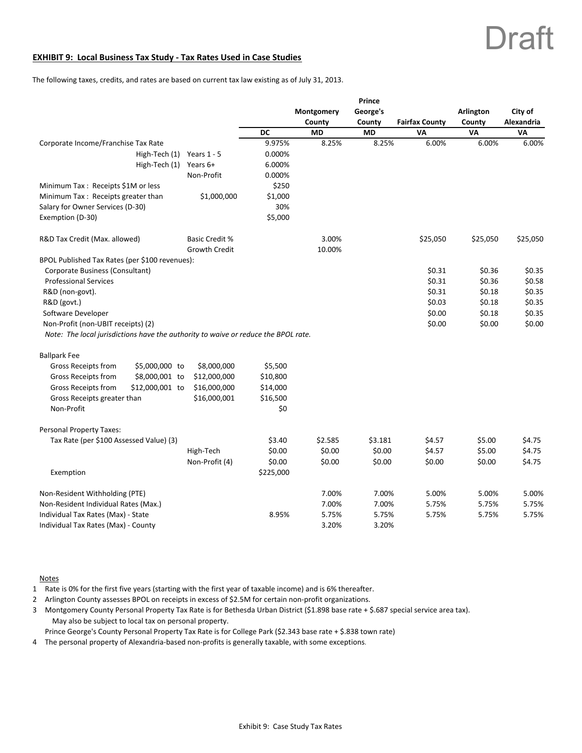#### **EXHIBIT 9: Local Business Tax Study ‐ Tax Rates Used in Case Studies**

The following taxes, credits, and rates are based on current tax law existing as of July 31, 2013.

|                                                                                    |                       |           |            | Prince    |                       |           |            |
|------------------------------------------------------------------------------------|-----------------------|-----------|------------|-----------|-----------------------|-----------|------------|
|                                                                                    |                       |           | Montgomery | George's  |                       | Arlington | City of    |
|                                                                                    |                       |           | County     | County    | <b>Fairfax County</b> | County    | Alexandria |
|                                                                                    |                       | DC        | <b>MD</b>  | <b>MD</b> | VA                    | VA        | VA         |
| Corporate Income/Franchise Tax Rate                                                |                       | 9.975%    | 8.25%      | 8.25%     | 6.00%                 | 6.00%     | 6.00%      |
| High-Tech (1)                                                                      | Years $1 - 5$         | 0.000%    |            |           |                       |           |            |
| High-Tech (1)                                                                      | Years 6+              | 6.000%    |            |           |                       |           |            |
|                                                                                    | Non-Profit            | 0.000%    |            |           |                       |           |            |
| Minimum Tax: Receipts \$1M or less                                                 |                       | \$250     |            |           |                       |           |            |
| Minimum Tax: Receipts greater than                                                 | \$1,000,000           | \$1,000   |            |           |                       |           |            |
| Salary for Owner Services (D-30)                                                   |                       | 30%       |            |           |                       |           |            |
| Exemption (D-30)                                                                   |                       | \$5,000   |            |           |                       |           |            |
| R&D Tax Credit (Max. allowed)                                                      | <b>Basic Credit %</b> |           | 3.00%      |           | \$25,050              | \$25,050  | \$25,050   |
|                                                                                    | <b>Growth Credit</b>  |           | 10.00%     |           |                       |           |            |
| BPOL Published Tax Rates (per \$100 revenues):                                     |                       |           |            |           |                       |           |            |
| Corporate Business (Consultant)                                                    |                       |           |            |           | \$0.31                | \$0.36    | \$0.35     |
| <b>Professional Services</b>                                                       |                       |           |            |           | \$0.31                | \$0.36    | \$0.58     |
| R&D (non-govt).                                                                    |                       |           |            |           | \$0.31                | \$0.18    | \$0.35     |
| R&D (govt.)                                                                        |                       |           |            |           | \$0.03                | \$0.18    | \$0.35     |
| Software Developer                                                                 |                       |           |            |           | \$0.00                | \$0.18    | \$0.35     |
| Non-Profit (non-UBIT receipts) (2)                                                 |                       |           |            |           | \$0.00                | \$0.00    | \$0.00     |
| Note: The local jurisdictions have the authority to waive or reduce the BPOL rate. |                       |           |            |           |                       |           |            |
| <b>Ballpark Fee</b>                                                                |                       |           |            |           |                       |           |            |
| <b>Gross Receipts from</b><br>\$5,000,000 to                                       | \$8,000,000           | \$5,500   |            |           |                       |           |            |
| \$8,000,001 to<br>Gross Receipts from                                              | \$12,000,000          | \$10,800  |            |           |                       |           |            |
| \$12,000,001 to<br>Gross Receipts from                                             | \$16,000,000          | \$14,000  |            |           |                       |           |            |
| Gross Receipts greater than                                                        | \$16,000,001          | \$16,500  |            |           |                       |           |            |
| Non-Profit                                                                         |                       | \$0       |            |           |                       |           |            |
| <b>Personal Property Taxes:</b>                                                    |                       |           |            |           |                       |           |            |
| Tax Rate (per \$100 Assessed Value) (3)                                            |                       | \$3.40    | \$2.585    | \$3.181   | \$4.57                | \$5.00    | \$4.75     |
|                                                                                    | High-Tech             | \$0.00    | \$0.00     | \$0.00    | \$4.57                | \$5.00    | \$4.75     |
|                                                                                    | Non-Profit (4)        | \$0.00    | \$0.00     | \$0.00    | \$0.00                | \$0.00    | \$4.75     |
| Exemption                                                                          |                       | \$225,000 |            |           |                       |           |            |
| Non-Resident Withholding (PTE)                                                     |                       |           | 7.00%      | 7.00%     | 5.00%                 | 5.00%     | 5.00%      |
| Non-Resident Individual Rates (Max.)                                               |                       |           | 7.00%      | 7.00%     | 5.75%                 | 5.75%     | 5.75%      |
| Individual Tax Rates (Max) - State                                                 |                       | 8.95%     | 5.75%      | 5.75%     | 5.75%                 | 5.75%     | 5.75%      |
| Individual Tax Rates (Max) - County                                                |                       |           | 3.20%      | 3.20%     |                       |           |            |

#### Notes

- 1 Rate is 0% for the first five years (starting with the first year of taxable income) and is 6% thereafter.
- 2 Arlington County assesses BPOL on receipts in excess of \$2.5M for certain non-profit organizations.
- 3 Montgomery County Personal Property Tax Rate is for Bethesda Urban District (\$1.898 base rate + \$.687 special service area tax). May also be subject to local tax on personal property.

Prince George's County Personal Property Tax Rate is for College Park (\$2.343 base rate + \$.838 town rate)

4 The personal property of Alexandria-based non-profits is generally taxable, with some exceptions.